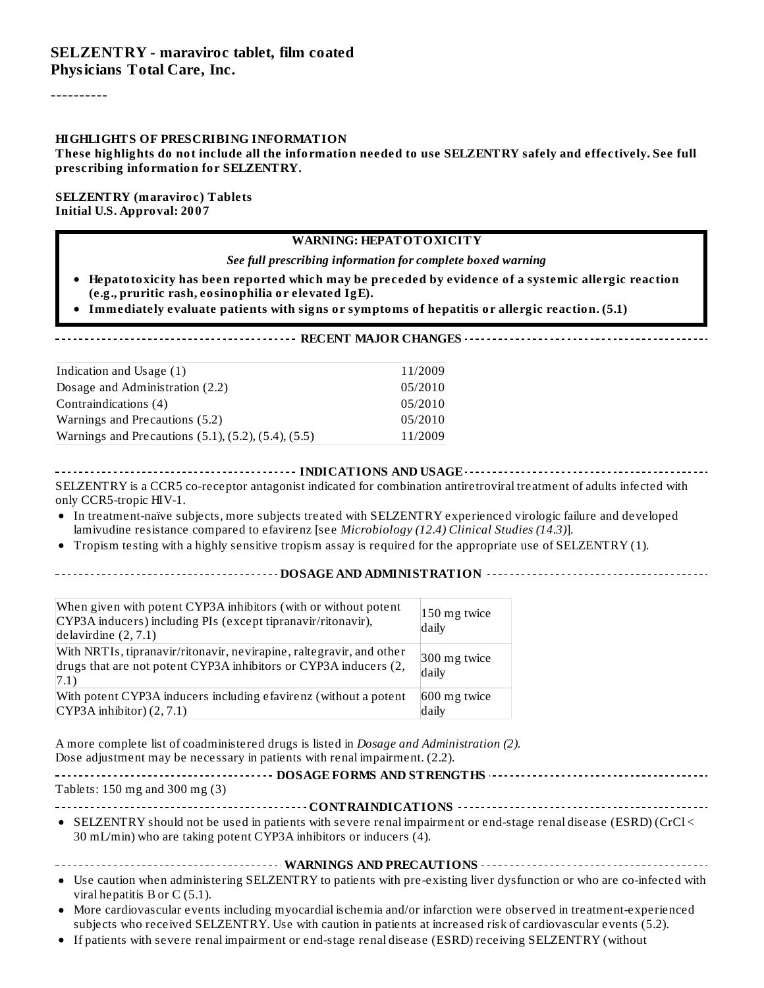----------

#### **HIGHLIGHTS OF PRESCRIBING INFORMATION**

These highlights do not include all the information needed to use SELZENTRY safely and effectively. See full **prescribing information for SELZENTRY.**

#### **SELZENTRY (maraviroc) Tablets Initial U.S. Approval: 2007**

#### **WARNING: HEPATOTOXICITY**

*See full prescribing information for complete boxed warning*

- **Hepatotoxicity has been reported which may be preceded by evidence of a systemic allergic reaction (e.g., pruritic rash, eosinophilia or elevated IgE).**
- **Immediately evaluate patients with signs or symptoms of hepatitis or allergic reaction. (5.1)**

| Indication and Usage (1)                                       | 11/2009 |  |
|----------------------------------------------------------------|---------|--|
| Dosage and Administration (2.2)                                | 05/2010 |  |
| Contraindications (4)                                          | 05/2010 |  |
| Warnings and Precautions (5.2)                                 | 05/2010 |  |
| Warnings and Precautions $(5.1)$ , $(5.2)$ , $(5.4)$ , $(5.5)$ | 11/2009 |  |

**INDICATIONS AND CONSIDERED ASSESSED AS AND STATIONS AND USAGE**  $\cdots$   $\cdots$   $\cdots$   $\cdots$   $\cdots$   $\cdots$   $\cdots$   $\cdots$   $\cdots$   $\cdots$   $\cdots$   $\cdots$ SELZENTRY is a CCR5 co-receptor antagonist indicated for combination antiretroviral treatment of adults infected with only CCR5-tropic HIV-1.

- In treatment-naïve subjects, more subjects treated with SELZENTRY experienced virologic failure and developed lamivudine resistance compared to efavirenz [see *Microbiology (12.4) Clinical Studies (14.3)*].
- Tropism testing with a highly sensitive tropism assay is required for the appropriate use of SELZENTRY (1).

#### **DOSAGE AND ADMINISTRATION**

| When given with potent CYP3A inhibitors (with or without potent<br>CYP3A inducers) including PIs (except tipranavir/ritonavir),<br>delavirdine $(2, 7.1)$ | 150 mg twice<br>daily |
|-----------------------------------------------------------------------------------------------------------------------------------------------------------|-----------------------|
| With NRTIs, tipranavir/ritonavir, nevirapine, raltegravir, and other<br>drugs that are not potent CYP3A inhibitors or CYP3A inducers (2,<br>(7.1)         | 300 mg twice<br>daily |
| With potent CYP3A inducers including efavirenz (without a potent<br>$CYP3A$ inhibitor) $(2, 7.1)$                                                         | 600 mg twice<br>daily |

A more complete list of coadministered drugs is listed in *Dosage and Administration (2).* Dose adjustment may be necessary in patients with renal impairment. (2.2).

**DOSAGE FORMS AND STRENGTHS**

Tablets: 150 mg and 300 mg (3)

| • SELZENTRY should not be used in patients with severe renal impairment or end-stage renal disease (ESRD) (CrCl < |  |  |  |  |
|-------------------------------------------------------------------------------------------------------------------|--|--|--|--|

30 mL/min) who are taking potent CYP3A inhibitors or inducers (4).

#### **WARNINGS AND PRECAUTIONS**

- Use caution when administering SELZENTRY to patients with pre-existing liver dysfunction or who are co-infected with viral hepatitis B or C (5.1).
- More cardiovascular events including myocardial ischemia and/or infarction were observed in treatment-experienced subjects who received SELZENTRY. Use with caution in patients at increased risk of cardiovascular events (5.2).
- If patients with severe renal impairment or end-stage renal disease (ESRD) receiving SELZENTRY (without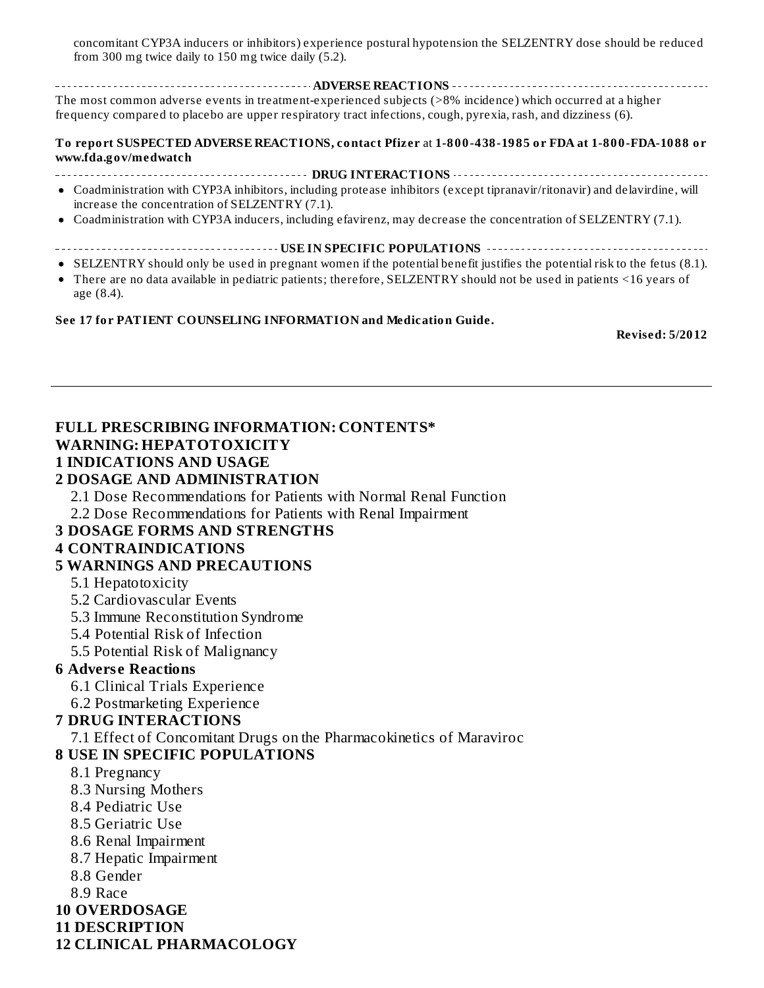concomitant CYP3A inducers or inhibitors) experience postural hypotension the SELZENTRY dose should be reduced from 300 mg twice daily to 150 mg twice daily (5.2).

**ADVERSE REACTIONS** The most common adverse events in treatment-experienced subjects (>8% incidence) which occurred at a higher frequency compared to placebo are upper respiratory tract infections, cough, pyrexia, rash, and dizziness (6).

**To report SUSPECTED ADVERSE REACTIONS, contact Pfizer** at **1-800-438-1985 or FDA at 1-800-FDA-1088 or www.fda.gov/medwatch**

- **DRUG INTERACTIONS**
- Coadministration with CYP3A inhibitors, including protease inhibitors (except tipranavir/ritonavir) and delavirdine, will increase the concentration of SELZENTRY (7.1).
- Coadministration with CYP3A inducers, including efavirenz, may decrease the concentration of SELZENTRY (7.1).
- **USE IN SPECIFIC POPULATIONS**
- SELZENTRY should only be used in pregnant women if the potential benefit justifies the potential risk to the fetus (8.1).
- There are no data available in pediatric patients; therefore, SELZENTRY should not be used in patients <16 years of age (8.4).

#### **See 17 for PATIENT COUNSELING INFORMATION and Medication Guide.**

**Revised: 5/2012**

#### **FULL PRESCRIBING INFORMATION: CONTENTS\***

#### **WARNING: HEPATOTOXICITY**

#### **1 INDICATIONS AND USAGE**

#### **2 DOSAGE AND ADMINISTRATION**

2.1 Dose Recommendations for Patients with Normal Renal Function

2.2 Dose Recommendations for Patients with Renal Impairment

#### **3 DOSAGE FORMS AND STRENGTHS**

#### **4 CONTRAINDICATIONS**

#### **5 WARNINGS AND PRECAUTIONS**

#### 5.1 Hepatotoxicity

- 5.2 Cardiovascular Events
- 5.3 Immune Reconstitution Syndrome
- 5.4 Potential Risk of Infection
- 5.5 Potential Risk of Malignancy

#### **6 Advers e Reactions**

- 6.1 Clinical Trials Experience
- 6.2 Postmarketing Experience

#### **7 DRUG INTERACTIONS**

7.1 Effect of Concomitant Drugs on the Pharmacokinetics of Maraviroc

#### **8 USE IN SPECIFIC POPULATIONS**

- 8.1 Pregnancy
- 8.3 Nursing Mothers
- 8.4 Pediatric Use
- 8.5 Geriatric Use
- 8.6 Renal Impairment
- 8.7 Hepatic Impairment
- 8.8 Gender

8.9 Race

- **10 OVERDOSAGE**
- **11 DESCRIPTION**

#### **12 CLINICAL PHARMACOLOGY**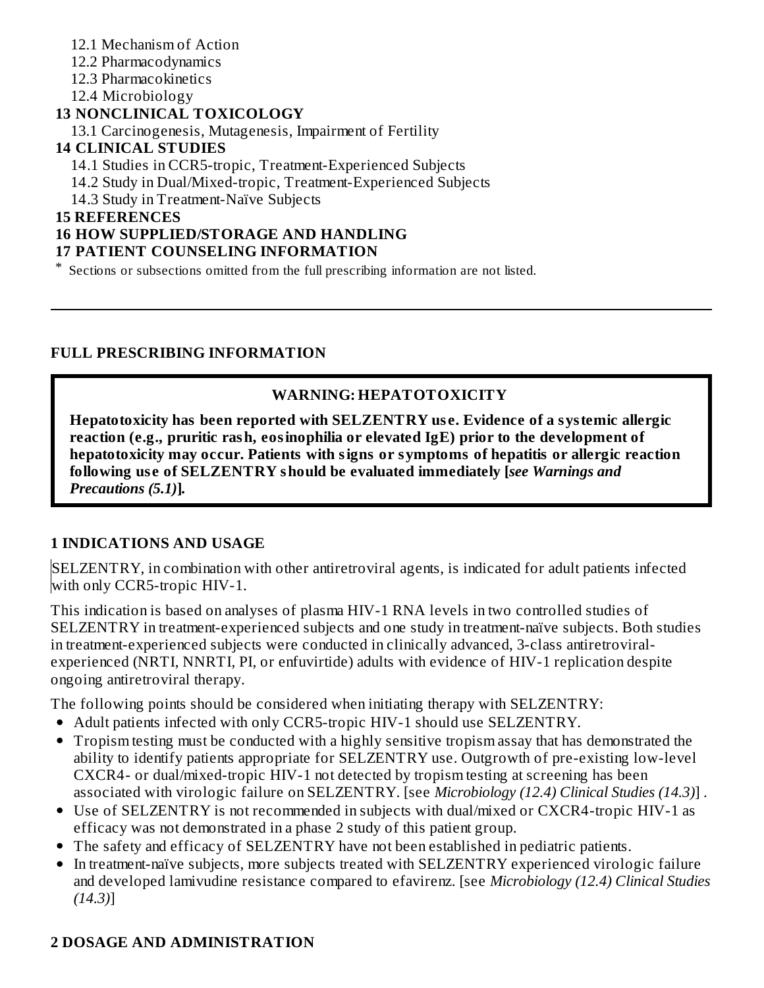- 12.1 Mechanism of Action
- 12.2 Pharmacodynamics
- 12.3 Pharmacokinetics
- 12.4 Microbiology

## **13 NONCLINICAL TOXICOLOGY**

13.1 Carcinogenesis, Mutagenesis, Impairment of Fertility

#### **14 CLINICAL STUDIES**

- 14.1 Studies in CCR5-tropic, Treatment-Experienced Subjects
- 14.2 Study in Dual/Mixed-tropic, Treatment-Experienced Subjects
- 14.3 Study in Treatment-Naïve Subjects

#### **15 REFERENCES**

#### **16 HOW SUPPLIED/STORAGE AND HANDLING**

#### **17 PATIENT COUNSELING INFORMATION**

\* Sections or subsections omitted from the full prescribing information are not listed.

#### **FULL PRESCRIBING INFORMATION**

## **WARNING: HEPATOTOXICITY**

**Hepatotoxicity has been reported with SELZENTRY us e. Evidence of a systemic allergic reaction (e.g., pruritic rash, eosinophilia or elevated IgE) prior to the development of hepatotoxicity may occur. Patients with signs or symptoms of hepatitis or allergic reaction following us e of SELZENTRY should be evaluated immediately [***see Warnings and Precautions (5.1)***]***.*

#### **1 INDICATIONS AND USAGE**

SELZENTRY, in combination with other antiretroviral agents, is indicated for adult patients infected with only CCR5-tropic HIV-1.

This indication is based on analyses of plasma HIV-1 RNA levels in two controlled studies of SELZENTRY in treatment-experienced subjects and one study in treatment-naïve subjects. Both studies in treatment-experienced subjects were conducted in clinically advanced, 3-class antiretroviralexperienced (NRTI, NNRTI, PI, or enfuvirtide) adults with evidence of HIV-1 replication despite ongoing antiretroviral therapy.

The following points should be considered when initiating therapy with SELZENTRY:

- Adult patients infected with only CCR5-tropic HIV-1 should use SELZENTRY.
- Tropism testing must be conducted with a highly sensitive tropism assay that has demonstrated the ability to identify patients appropriate for SELZENTRY use. Outgrowth of pre-existing low-level CXCR4- or dual/mixed-tropic HIV-1 not detected by tropism testing at screening has been associated with virologic failure on SELZENTRY. [see *Microbiology (12.4) Clinical Studies (14.3)*] .
- Use of SELZENTRY is not recommended in subjects with dual/mixed or CXCR4-tropic HIV-1 as efficacy was not demonstrated in a phase 2 study of this patient group.
- The safety and efficacy of SELZENTRY have not been established in pediatric patients.
- In treatment-naïve subjects, more subjects treated with SELZENTRY experienced virologic failure  $\bullet$ and developed lamivudine resistance compared to efavirenz. [see *Microbiology (12.4) Clinical Studies (14.3)*]

## **2 DOSAGE AND ADMINISTRATION**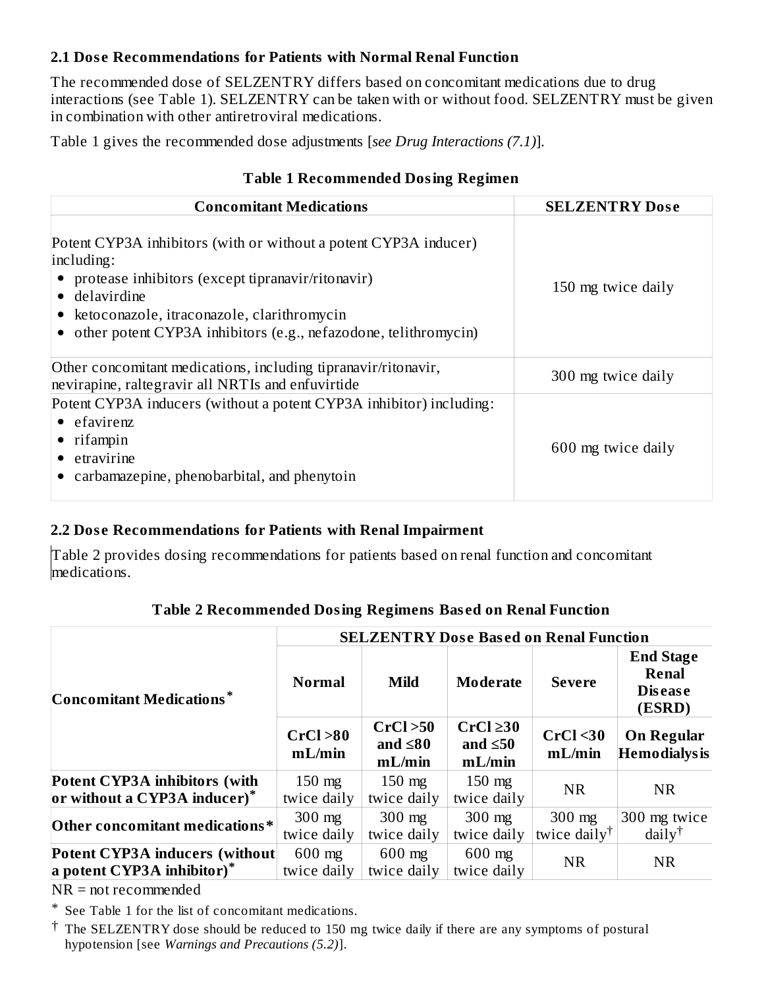#### **2.1 Dos e Recommendations for Patients with Normal Renal Function**

The recommended dose of SELZENTRY differs based on concomitant medications due to drug interactions (see Table 1). SELZENTRY can be taken with or without food. SELZENTRY must be given in combination with other antiretroviral medications.

Table 1 gives the recommended dose adjustments [*see Drug Interactions (7.1)*].

|  |  | Table 1 Recommended Dosing Regimen |  |  |  |
|--|--|------------------------------------|--|--|--|
|--|--|------------------------------------|--|--|--|

| <b>Concomitant Medications</b>                                                                                                                                                                                                                                              | <b>SELZENTRY Dose</b> |
|-----------------------------------------------------------------------------------------------------------------------------------------------------------------------------------------------------------------------------------------------------------------------------|-----------------------|
| Potent CYP3A inhibitors (with or without a potent CYP3A inducer)<br>including:<br>• protease inhibitors (except tipranavir/ritonavir)<br>• delavirdine<br>• ketoconazole, itraconazole, clarithromycin<br>• other potent CYP3A inhibitors (e.g., nefazodone, telithromycin) | 150 mg twice daily    |
| Other concomitant medications, including tipranavir/ritonavir,<br>nevirapine, raltegravir all NRTIs and enfuvirtide                                                                                                                                                         | 300 mg twice daily    |
| Potent CYP3A inducers (without a potent CYP3A inhibitor) including:<br>$\bullet$ efavirenz<br>$\bullet$ rifampin<br>$\bullet$ etravirine<br>• carbamazepine, phenobarbital, and phenytoin                                                                                   | 600 mg twice daily    |

#### **2.2 Dos e Recommendations for Patients with Renal Impairment**

Table 2 provides dosing recommendations for patients based on renal function and concomitant medications.

|                                                                      | <b>SELZENTRY Dose Based on Renal Function</b> |                                      |                                           |                                      |                                                              |  |
|----------------------------------------------------------------------|-----------------------------------------------|--------------------------------------|-------------------------------------------|--------------------------------------|--------------------------------------------------------------|--|
| Concomitant Medications*                                             | <b>Normal</b>                                 | Mild                                 | <b>Moderate</b>                           | <b>Severe</b>                        | <b>End Stage</b><br><b>Renal</b><br><b>Disease</b><br>(ESRD) |  |
|                                                                      | CrCl > 80<br>mL/min                           | CrCl > 50<br>and $\leq 80$<br>mL/min | $CrCl \geq 30$<br>and $\leq 50$<br>mL/min | CrCl <sub>30</sub><br>mL/min         | <b>On Regular</b><br><b>Hemodialysis</b>                     |  |
| Potent CYP3A inhibitors (with<br>or without a CYP3A inducer)*        | $150$ mg<br>twice daily                       | $150$ mg<br>twice daily              | $150$ mg<br>twice daily                   | <b>NR</b>                            | <b>NR</b>                                                    |  |
| Other concomitant medications*                                       | $300$ mg<br>twice daily                       | $300$ mg<br>twice daily              | $300$ mg<br>twice daily                   | $300$ mg<br>twice daily <sup>†</sup> | 300 mg twice<br>$daily^{\dagger}$                            |  |
| <b>Potent CYP3A inducers (without)</b><br>a potent CYP3A inhibitor)* | $600$ mg<br>twice daily                       | $600$ mg<br>twice daily              | $600$ mg<br>twice daily                   | <b>NR</b>                            | <b>NR</b>                                                    |  |

#### **Table 2 Recommended Dosing Regimens Bas ed on Renal Function**

NR = not recommended

\* See Table 1 for the list of concomitant medications.

† The SELZENTRY dose should be reduced to 150 mg twice daily if there are any symptoms of postural hypotension [see *Warnings and Precautions (5.2)*].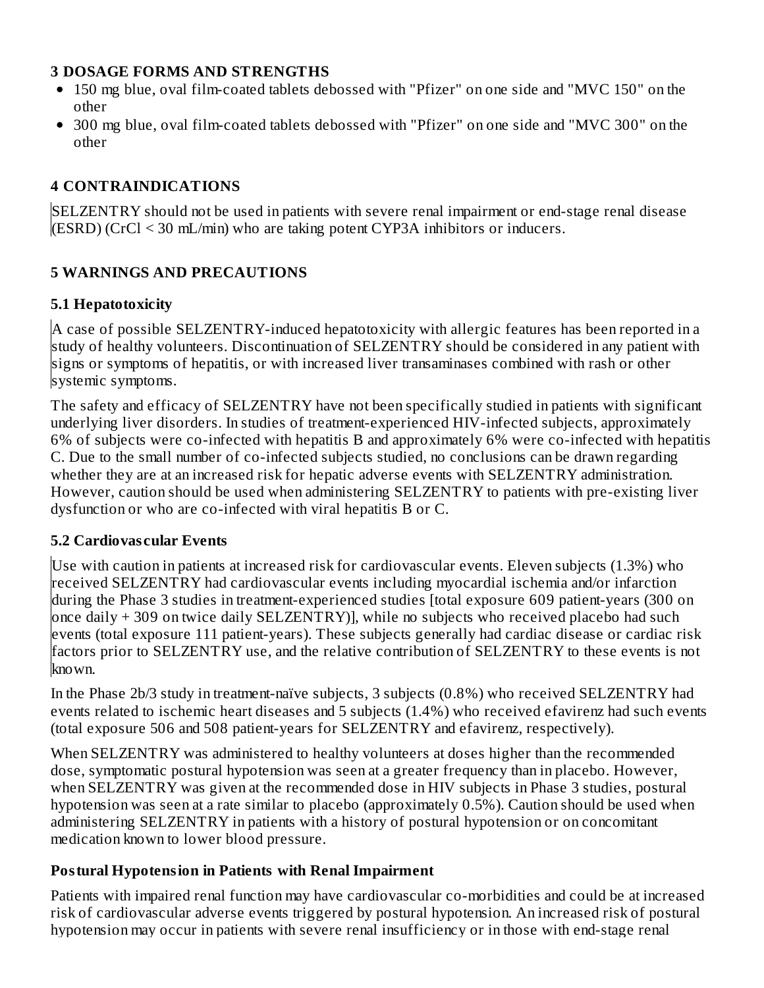#### **3 DOSAGE FORMS AND STRENGTHS**

- 150 mg blue, oval film-coated tablets debossed with "Pfizer" on one side and "MVC 150" on the other
- 300 mg blue, oval film-coated tablets debossed with "Pfizer" on one side and "MVC 300" on the other

#### **4 CONTRAINDICATIONS**

SELZENTRY should not be used in patients with severe renal impairment or end-stage renal disease (ESRD) (CrCl < 30 mL/min) who are taking potent CYP3A inhibitors or inducers.

#### **5 WARNINGS AND PRECAUTIONS**

#### **5.1 Hepatotoxicity**

A case of possible SELZENTRY-induced hepatotoxicity with allergic features has been reported in a study of healthy volunteers. Discontinuation of SELZENTRY should be considered in any patient with signs or symptoms of hepatitis, or with increased liver transaminases combined with rash or other systemic symptoms.

The safety and efficacy of SELZENTRY have not been specifically studied in patients with significant underlying liver disorders. In studies of treatment-experienced HIV-infected subjects, approximately 6% of subjects were co-infected with hepatitis B and approximately 6% were co-infected with hepatitis C. Due to the small number of co-infected subjects studied, no conclusions can be drawn regarding whether they are at an increased risk for hepatic adverse events with SELZENTRY administration. However, caution should be used when administering SELZENTRY to patients with pre-existing liver dysfunction or who are co-infected with viral hepatitis B or C.

#### **5.2 Cardiovas cular Events**

Use with caution in patients at increased risk for cardiovascular events. Eleven subjects (1.3%) who received SELZENTRY had cardiovascular events including myocardial ischemia and/or infarction during the Phase 3 studies in treatment-experienced studies [total exposure 609 patient-years (300 on once daily + 309 on twice daily SELZENTRY)], while no subjects who received placebo had such events (total exposure 111 patient-years). These subjects generally had cardiac disease or cardiac risk factors prior to SELZENTRY use, and the relative contribution of SELZENTRY to these events is not known.

In the Phase 2b/3 study in treatment-naïve subjects, 3 subjects (0.8%) who received SELZENTRY had events related to ischemic heart diseases and 5 subjects (1.4%) who received efavirenz had such events (total exposure 506 and 508 patient-years for SELZENTRY and efavirenz, respectively).

When SELZENTRY was administered to healthy volunteers at doses higher than the recommended dose, symptomatic postural hypotension was seen at a greater frequency than in placebo. However, when SELZENTRY was given at the recommended dose in HIV subjects in Phase 3 studies, postural hypotension was seen at a rate similar to placebo (approximately 0.5%). Caution should be used when administering SELZENTRY in patients with a history of postural hypotension or on concomitant medication known to lower blood pressure.

#### **Postural Hypotension in Patients with Renal Impairment**

Patients with impaired renal function may have cardiovascular co-morbidities and could be at increased risk of cardiovascular adverse events triggered by postural hypotension. An increased risk of postural hypotension may occur in patients with severe renal insufficiency or in those with end-stage renal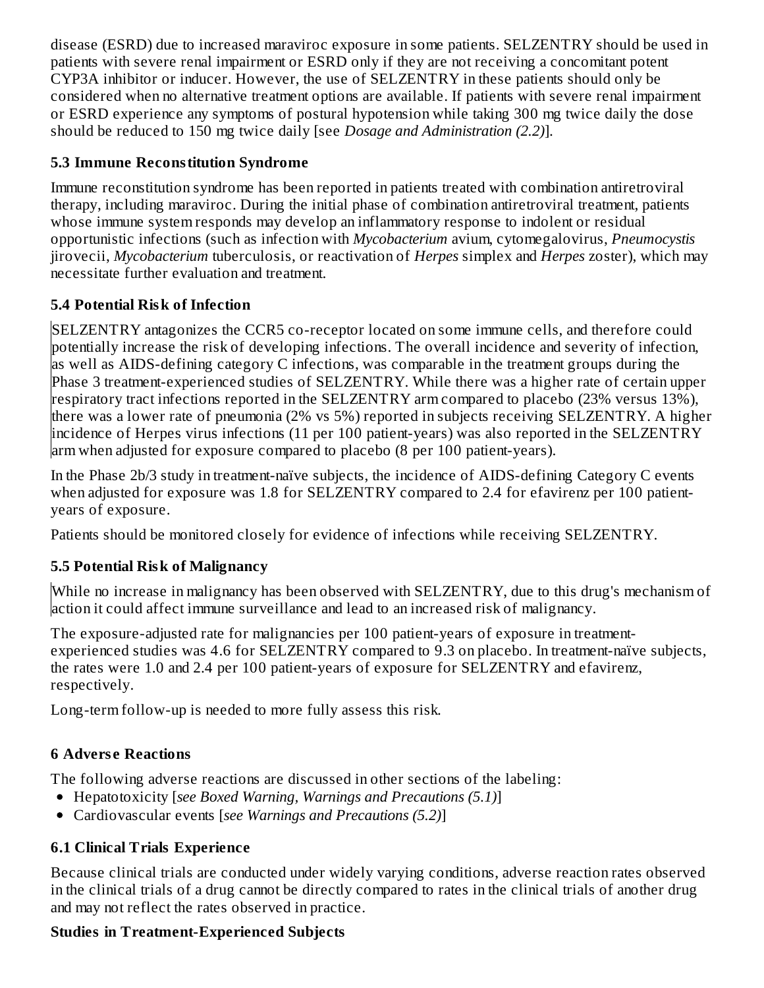disease (ESRD) due to increased maraviroc exposure in some patients. SELZENTRY should be used in patients with severe renal impairment or ESRD only if they are not receiving a concomitant potent CYP3A inhibitor or inducer. However, the use of SELZENTRY in these patients should only be considered when no alternative treatment options are available. If patients with severe renal impairment or ESRD experience any symptoms of postural hypotension while taking 300 mg twice daily the dose should be reduced to 150 mg twice daily [see *Dosage and Administration (2.2)*].

## **5.3 Immune Reconstitution Syndrome**

Immune reconstitution syndrome has been reported in patients treated with combination antiretroviral therapy, including maraviroc. During the initial phase of combination antiretroviral treatment, patients whose immune system responds may develop an inflammatory response to indolent or residual opportunistic infections (such as infection with *Mycobacterium* avium, cytomegalovirus, *Pneumocystis* jirovecii, *Mycobacterium* tuberculosis, or reactivation of *Herpes* simplex and *Herpes* zoster), which may necessitate further evaluation and treatment.

## **5.4 Potential Risk of Infection**

SELZENTRY antagonizes the CCR5 co-receptor located on some immune cells, and therefore could potentially increase the risk of developing infections. The overall incidence and severity of infection, as well as AIDS-defining category C infections, was comparable in the treatment groups during the Phase 3 treatment-experienced studies of SELZENTRY. While there was a higher rate of certain upper respiratory tract infections reported in the SELZENTRY arm compared to placebo (23% versus 13%), there was a lower rate of pneumonia (2% vs 5%) reported in subjects receiving SELZENTRY. A higher incidence of Herpes virus infections (11 per 100 patient-years) was also reported in the SELZENTRY arm when adjusted for exposure compared to placebo (8 per 100 patient-years).

In the Phase 2b/3 study in treatment-naïve subjects, the incidence of AIDS-defining Category C events when adjusted for exposure was 1.8 for SELZENTRY compared to 2.4 for efavirenz per 100 patientyears of exposure.

Patients should be monitored closely for evidence of infections while receiving SELZENTRY.

# **5.5 Potential Risk of Malignancy**

While no increase in malignancy has been observed with SELZENTRY, due to this drug's mechanism of action it could affect immune surveillance and lead to an increased risk of malignancy.

The exposure-adjusted rate for malignancies per 100 patient-years of exposure in treatmentexperienced studies was 4.6 for SELZENTRY compared to 9.3 on placebo. In treatment-naïve subjects, the rates were 1.0 and 2.4 per 100 patient-years of exposure for SELZENTRY and efavirenz, respectively.

Long-term follow-up is needed to more fully assess this risk.

# **6 Advers e Reactions**

The following adverse reactions are discussed in other sections of the labeling:

- Hepatotoxicity [*see Boxed Warning, Warnings and Precautions (5.1)*]
- Cardiovascular events [*see Warnings and Precautions (5.2)*]

# **6.1 Clinical Trials Experience**

Because clinical trials are conducted under widely varying conditions, adverse reaction rates observed in the clinical trials of a drug cannot be directly compared to rates in the clinical trials of another drug and may not reflect the rates observed in practice.

# **Studies in Treatment-Experienced Subjects**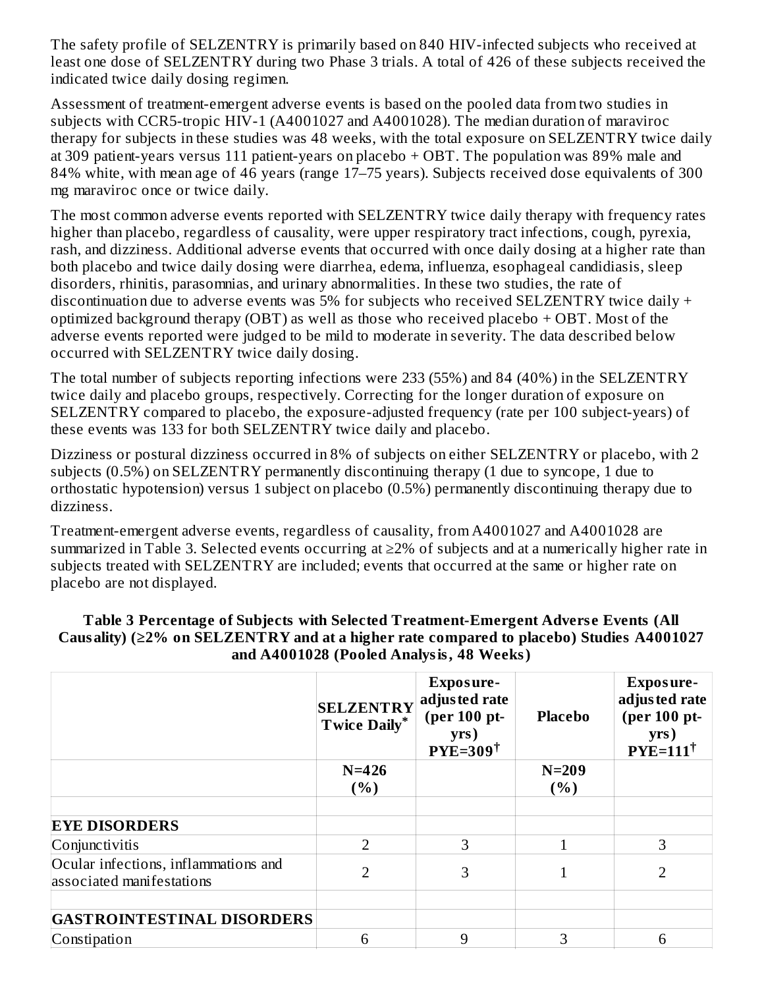The safety profile of SELZENTRY is primarily based on 840 HIV-infected subjects who received at least one dose of SELZENTRY during two Phase 3 trials. A total of 426 of these subjects received the indicated twice daily dosing regimen.

Assessment of treatment-emergent adverse events is based on the pooled data from two studies in subjects with CCR5-tropic HIV-1 (A4001027 and A4001028). The median duration of maraviroc therapy for subjects in these studies was 48 weeks, with the total exposure on SELZENTRY twice daily at 309 patient-years versus 111 patient-years on placebo + OBT. The population was 89% male and 84% white, with mean age of 46 years (range 17–75 years). Subjects received dose equivalents of 300 mg maraviroc once or twice daily.

The most common adverse events reported with SELZENTRY twice daily therapy with frequency rates higher than placebo, regardless of causality, were upper respiratory tract infections, cough, pyrexia, rash, and dizziness. Additional adverse events that occurred with once daily dosing at a higher rate than both placebo and twice daily dosing were diarrhea, edema, influenza, esophageal candidiasis, sleep disorders, rhinitis, parasomnias, and urinary abnormalities. In these two studies, the rate of discontinuation due to adverse events was 5% for subjects who received SELZENTRY twice daily + optimized background therapy (OBT) as well as those who received placebo + OBT. Most of the adverse events reported were judged to be mild to moderate in severity. The data described below occurred with SELZENTRY twice daily dosing.

The total number of subjects reporting infections were 233 (55%) and 84 (40%) in the SELZENTRY twice daily and placebo groups, respectively. Correcting for the longer duration of exposure on SELZENTRY compared to placebo, the exposure-adjusted frequency (rate per 100 subject-years) of these events was 133 for both SELZENTRY twice daily and placebo.

Dizziness or postural dizziness occurred in 8% of subjects on either SELZENTRY or placebo, with 2 subjects (0.5%) on SELZENTRY permanently discontinuing therapy (1 due to syncope, 1 due to orthostatic hypotension) versus 1 subject on placebo (0.5%) permanently discontinuing therapy due to dizziness.

Treatment-emergent adverse events, regardless of causality, from A4001027 and A4001028 are summarized in Table 3. Selected events occurring at ≥2% of subjects and at a numerically higher rate in subjects treated with SELZENTRY are included; events that occurred at the same or higher rate on placebo are not displayed.

|                                                                   | <b>SELZENTRY</b><br><b>Twice Daily*</b> | Exposure-<br>adjusted rate<br>(per 100 pt-<br>yrs)<br>$PYE=309^{\dagger}$ | <b>Placebo</b>  | Exposure-<br>adjusted rate<br>(per 100 pt-<br>yrs)<br>$PYE=111^{\dagger}$ |
|-------------------------------------------------------------------|-----------------------------------------|---------------------------------------------------------------------------|-----------------|---------------------------------------------------------------------------|
|                                                                   | $N = 426$<br>(%)                        |                                                                           | $N=209$<br>( %) |                                                                           |
| <b>EYE DISORDERS</b>                                              |                                         |                                                                           |                 |                                                                           |
| Conjunctivitis                                                    | $\overline{2}$                          | 3                                                                         |                 | 3                                                                         |
| Ocular infections, inflammations and<br>associated manifestations | $\overline{2}$                          | 3                                                                         |                 |                                                                           |
|                                                                   |                                         |                                                                           |                 |                                                                           |
| <b>GASTROINTESTINAL DISORDERS</b>                                 |                                         |                                                                           |                 |                                                                           |
| Constipation                                                      | 6                                       | 9                                                                         | 3               | 6                                                                         |

#### **Table 3 Percentage of Subjects with Selected Treatment-Emergent Advers e Events (All Causality) (≥2% on SELZENTRY and at a higher rate compared to placebo) Studies A4001027 and A4001028 (Pooled Analysis, 48 Weeks)**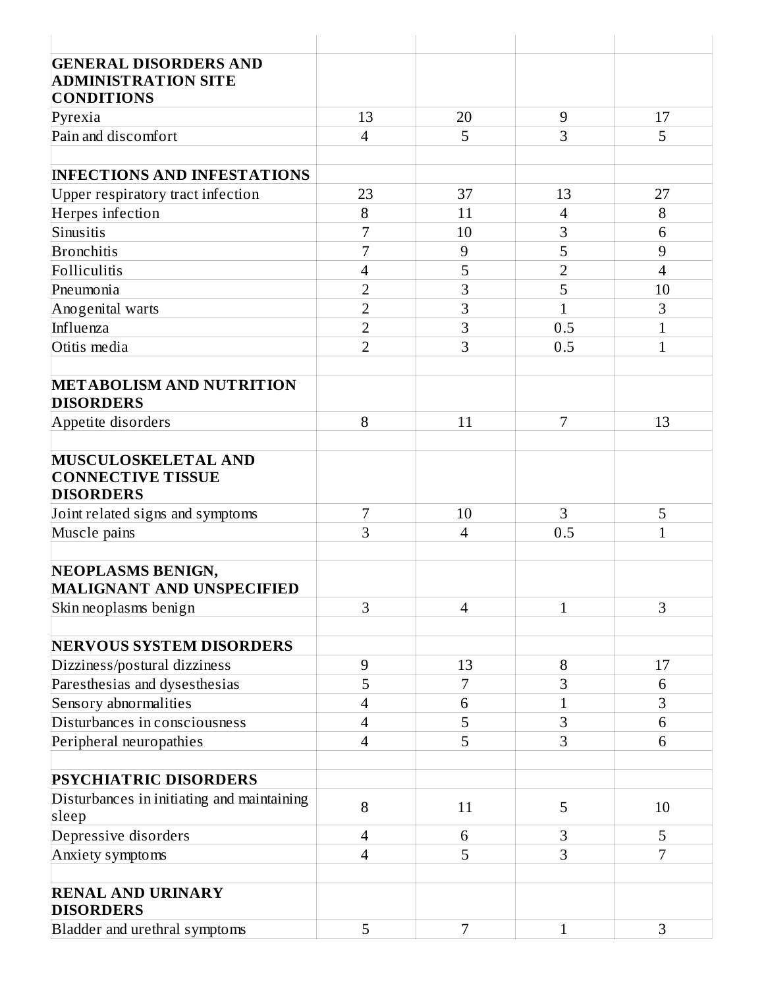| <b>GENERAL DISORDERS AND</b>                          |                          |                |                |                |
|-------------------------------------------------------|--------------------------|----------------|----------------|----------------|
| <b>ADMINISTRATION SITE</b>                            |                          |                |                |                |
| <b>CONDITIONS</b>                                     |                          |                |                |                |
| Pyrexia                                               | 13                       | 20             | 9              | 17             |
| Pain and discomfort                                   | $\overline{4}$           | 5              | 3              | 5              |
|                                                       |                          |                |                |                |
| <b>INFECTIONS AND INFESTATIONS</b>                    |                          |                |                |                |
| Upper respiratory tract infection                     | 23                       | 37             | 13             | 27             |
| Herpes infection                                      | 8                        | 11             | $\overline{4}$ | 8              |
| Sinusitis                                             | 7                        | 10             | 3              | 6              |
| <b>Bronchitis</b>                                     | 7                        | 9              | 5              | 9              |
| Folliculitis                                          | 4                        | 5              | $\overline{2}$ | $\overline{4}$ |
| Pneumonia                                             | $\overline{2}$           | 3              | 5              | 10             |
| Anogenital warts                                      | $\overline{2}$           | 3              | $\mathbf{1}$   | 3              |
| Influenza                                             | $\overline{2}$           | 3              | 0.5            | $\mathbf{1}$   |
| Otitis media                                          | $\overline{2}$           | 3              | 0.5            | $\mathbf{1}$   |
|                                                       |                          |                |                |                |
| <b>METABOLISM AND NUTRITION</b>                       |                          |                |                |                |
| <b>DISORDERS</b>                                      |                          |                |                |                |
| Appetite disorders                                    | 8                        | 11             | 7              | 13             |
|                                                       |                          |                |                |                |
| MUSCULOSKELETAL AND                                   |                          |                |                |                |
| <b>CONNECTIVE TISSUE</b>                              |                          |                |                |                |
| <b>DISORDERS</b>                                      |                          |                |                |                |
| Joint related signs and symptoms                      | 7                        | 10             | 3              | 5              |
| Muscle pains                                          | 3                        | $\overline{4}$ | 0.5            | $\mathbf{1}$   |
|                                                       |                          |                |                |                |
| NEOPLASMS BENIGN,<br><b>MALIGNANT AND UNSPECIFIED</b> |                          |                |                |                |
|                                                       | 3                        | $\overline{4}$ | $\mathbf{1}$   | 3              |
| Skin neoplasms benign                                 |                          |                |                |                |
| <b>NERVOUS SYSTEM DISORDERS</b>                       |                          |                |                |                |
| Dizziness/postural dizziness                          | 9                        | 13             | 8              | 17             |
| Paresthesias and dysesthesias                         | 5                        | 7              | 3              | 6              |
| Sensory abnormalities                                 | 4                        | 6              | $\mathbf{1}$   | 3              |
| Disturbances in consciousness                         | $\overline{\mathcal{A}}$ | 5              | 3              | 6              |
| Peripheral neuropathies                               | 4                        | 5              | 3              | 6              |
|                                                       |                          |                |                |                |
| <b>PSYCHIATRIC DISORDERS</b>                          |                          |                |                |                |
| Disturbances in initiating and maintaining            |                          |                |                |                |
| sleep                                                 | 8                        | 11             | 5              | 10             |
| Depressive disorders                                  | $\overline{4}$           | 6              | 3              | 5              |
| Anxiety symptoms                                      | 4                        | 5              | 3              | $\overline{7}$ |
|                                                       |                          |                |                |                |
| <b>RENAL AND URINARY</b>                              |                          |                |                |                |
| <b>DISORDERS</b>                                      |                          |                |                |                |
| Bladder and urethral symptoms                         | 5                        | $\overline{7}$ | $\mathbf{1}$   | 3              |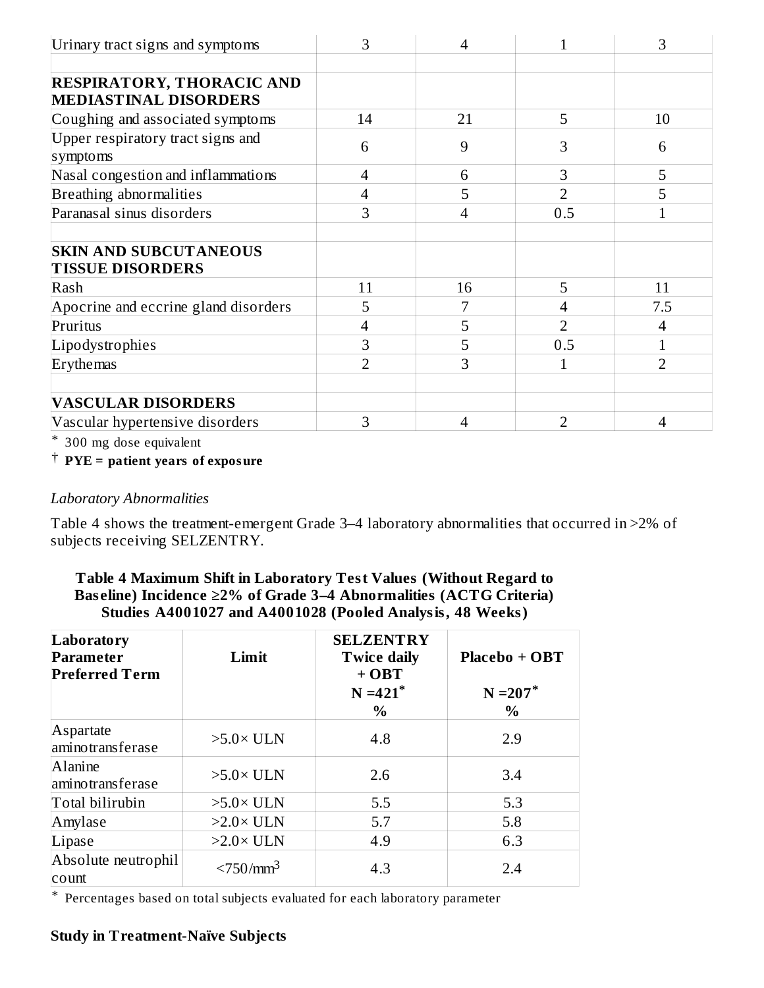| Urinary tract signs and symptoms              | 3              | $\overline{4}$ | 1              | 3              |
|-----------------------------------------------|----------------|----------------|----------------|----------------|
|                                               |                |                |                |                |
| <b>RESPIRATORY, THORACIC AND</b>              |                |                |                |                |
| <b>MEDIASTINAL DISORDERS</b>                  |                |                |                |                |
| Coughing and associated symptoms              | 14             | 21             | 5              | 10             |
| Upper respiratory tract signs and<br>symptoms | 6              | 9              | З              | 6              |
| Nasal congestion and inflammations            | 4              | 6              | 3              | 5              |
| Breathing abnormalities                       | 4              | 5              | 2              | 5              |
| Paranasal sinus disorders                     | 3              | 4              | 0.5            |                |
|                                               |                |                |                |                |
| <b>SKIN AND SUBCUTANEOUS</b>                  |                |                |                |                |
| <b>TISSUE DISORDERS</b>                       |                |                |                |                |
| Rash                                          | 11             | 16             | 5              | 11             |
| Apocrine and eccrine gland disorders          | 5              |                | 4              | 7.5            |
| Pruritus                                      |                | 5              | $\overline{2}$ | 4              |
| Lipodystrophies                               | 3              | 5              | 0.5            |                |
| Erythemas                                     | $\overline{2}$ | 3              | 1              | $\overline{2}$ |
| <b>VASCULAR DISORDERS</b>                     |                |                |                |                |
| Vascular hypertensive disorders               | 3              | 4              | 2              | 4              |

\* 300 mg dose equivalent

† **PYE = patient years of exposure**

#### *Laboratory Abnormalities*

Table 4 shows the treatment-emergent Grade 3–4 laboratory abnormalities that occurred in >2% of subjects receiving SELZENTRY.

| Table 4 Maximum Shift in Laboratory Test Values (Without Regard to       |
|--------------------------------------------------------------------------|
| Baseline) Incidence $\geq$ 2% of Grade 3–4 Abnormalities (ACTG Criteria) |
| Studies A4001027 and A4001028 (Pooled Analysis, 48 Weeks)                |

| Laboratory<br>Parameter<br><b>Preferred Term</b> | Limit                 | <b>SELZENTRY</b><br><b>Twice daily</b><br>$+$ OBT<br>$N = 421$ <sup>*</sup><br>$\%$ | Placebo + OBT<br>$N = 207$ *<br>$\%$ |
|--------------------------------------------------|-----------------------|-------------------------------------------------------------------------------------|--------------------------------------|
| Aspartate<br>aminotransferase                    | $>5.0\times$ ULN      | 4.8                                                                                 | 2.9                                  |
| Alanine<br>aminotransferase                      | $>5.0\times$ ULN      | 2.6                                                                                 | 3.4                                  |
| Total bilirubin                                  | $>5.0\times$ ULN      | 5.5                                                                                 | 5.3                                  |
| Amylase                                          | $>2.0\times$ ULN      | 5.7                                                                                 | 5.8                                  |
| Lipase                                           | $>2.0\times$ ULN      | 4.9                                                                                 | 6.3                                  |
| Absolute neutrophil<br>count                     | $< 750 / \text{mm}^3$ | 4.3                                                                                 | 2.4                                  |

\* Percentages based on total subjects evaluated for each laboratory parameter

# **Study in Treatment-Naïve Subjects**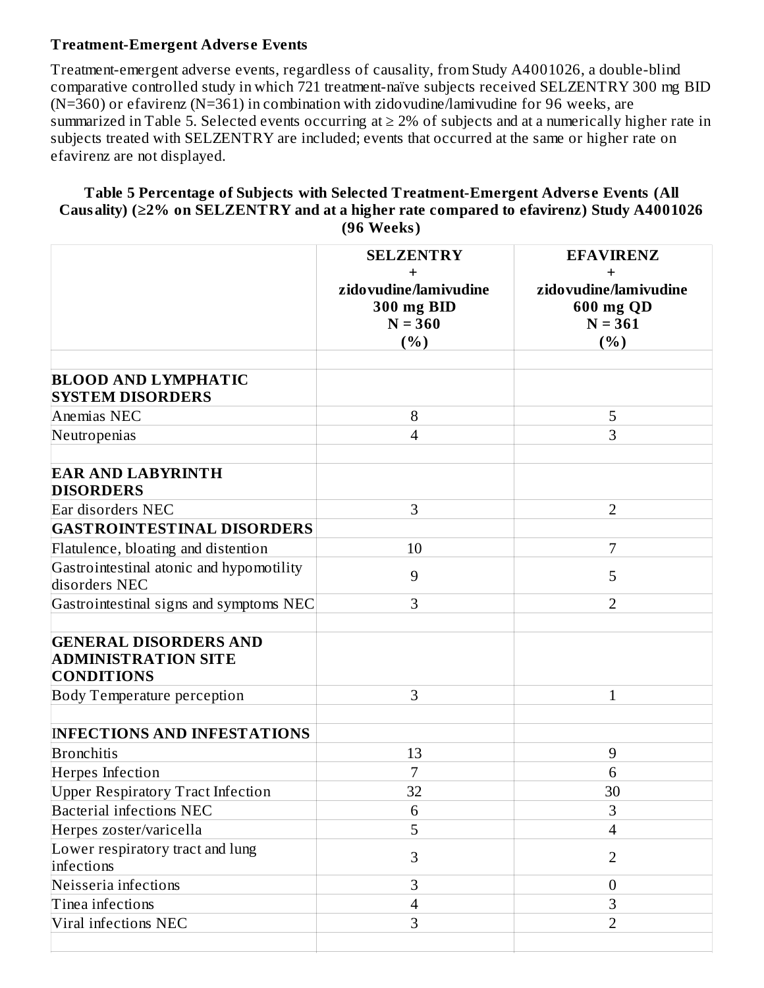#### **Treatment-Emergent Advers e Events**

Treatment-emergent adverse events, regardless of causality, from Study A4001026, a double-blind comparative controlled study in which 721 treatment-naïve subjects received SELZENTRY 300 mg BID (N=360) or efavirenz (N=361) in combination with zidovudine/lamivudine for 96 weeks, are summarized in Table 5. Selected events occurring at  $\geq 2\%$  of subjects and at a numerically higher rate in subjects treated with SELZENTRY are included; events that occurred at the same or higher rate on efavirenz are not displayed.

#### **Table 5 Percentage of Subjects with Selected Treatment-Emergent Advers e Events (All Causality) (≥2% on SELZENTRY and at a higher rate compared to efavirenz) Study A4001026 (96 Weeks)**

|                                                                                 | <b>SELZENTRY</b><br>zidovudine/lamivudine<br><b>300 mg BID</b><br>$N = 360$<br>(%) | <b>EFAVIRENZ</b><br>zidovudine/lamivudine<br>600 mg QD<br>$N = 361$<br>(%) |
|---------------------------------------------------------------------------------|------------------------------------------------------------------------------------|----------------------------------------------------------------------------|
| <b>BLOOD AND LYMPHATIC</b><br><b>SYSTEM DISORDERS</b>                           |                                                                                    |                                                                            |
| Anemias NEC                                                                     | 8                                                                                  | 5                                                                          |
| Neutropenias                                                                    | $\overline{4}$                                                                     | 3                                                                          |
| <b>EAR AND LABYRINTH</b><br><b>DISORDERS</b>                                    |                                                                                    |                                                                            |
| Ear disorders NEC                                                               | 3                                                                                  | $\overline{2}$                                                             |
| <b>GASTROINTESTINAL DISORDERS</b>                                               |                                                                                    |                                                                            |
| Flatulence, bloating and distention                                             | 10                                                                                 | 7                                                                          |
| Gastrointestinal atonic and hypomotility<br>disorders NEC                       | 9                                                                                  | 5                                                                          |
| Gastrointestinal signs and symptoms NEC                                         | 3                                                                                  | $\overline{2}$                                                             |
| <b>GENERAL DISORDERS AND</b><br><b>ADMINISTRATION SITE</b><br><b>CONDITIONS</b> |                                                                                    |                                                                            |
| Body Temperature perception                                                     | 3                                                                                  | 1                                                                          |
| <b>INFECTIONS AND INFESTATIONS</b><br>Bronchitis                                | 13                                                                                 | 9                                                                          |
| <b>Herpes Infection</b>                                                         | 7                                                                                  | 6                                                                          |
| <b>Upper Respiratory Tract Infection</b>                                        | 32                                                                                 | 30                                                                         |
| <b>Bacterial infections NEC</b>                                                 | 6                                                                                  | 3                                                                          |
| Herpes zoster/varicella                                                         | 5                                                                                  | $\overline{4}$                                                             |
| Lower respiratory tract and lung<br>infections                                  | 3                                                                                  | $\overline{2}$                                                             |
| Neisseria infections                                                            | 3                                                                                  | $\mathbf{0}$                                                               |
| Tinea infections                                                                | $\overline{4}$                                                                     | 3                                                                          |
| Viral infections NEC                                                            | 3                                                                                  | $\overline{2}$                                                             |
|                                                                                 |                                                                                    |                                                                            |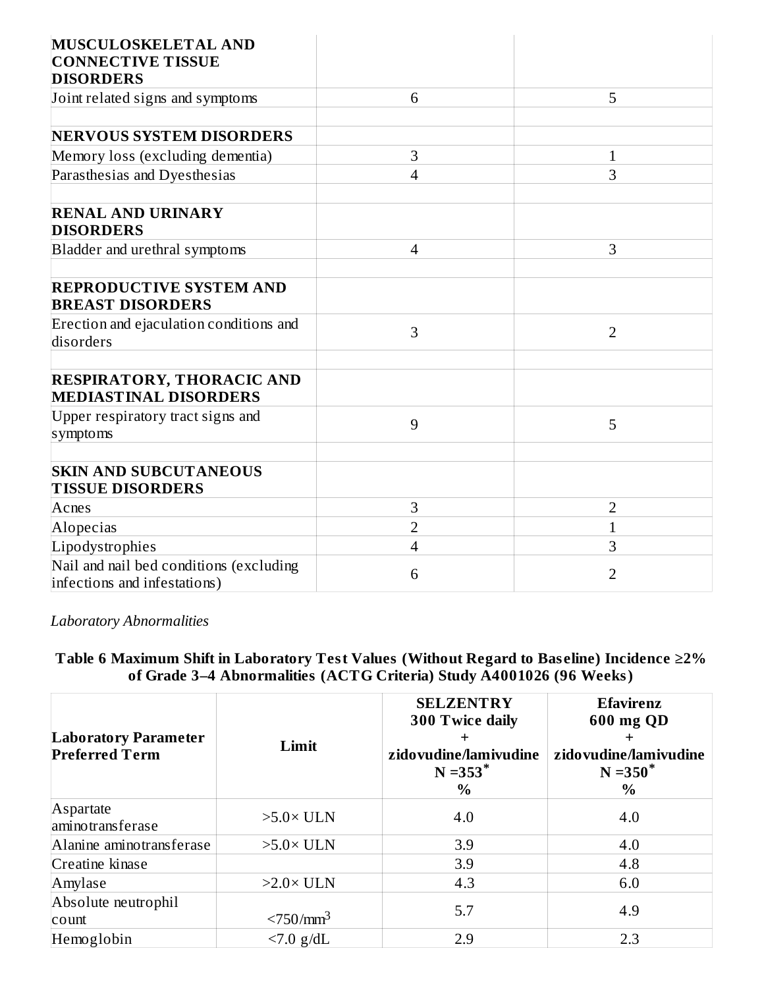| MUSCULOSKELETAL AND<br><b>CONNECTIVE TISSUE</b>                         |                |                |
|-------------------------------------------------------------------------|----------------|----------------|
| <b>DISORDERS</b>                                                        |                |                |
| Joint related signs and symptoms                                        | 6              | 5              |
|                                                                         |                |                |
| <b>NERVOUS SYSTEM DISORDERS</b>                                         |                |                |
| Memory loss (excluding dementia)                                        | 3              | $\mathbf{1}$   |
| Parasthesias and Dyesthesias                                            | 4              | 3              |
| <b>RENAL AND URINARY</b><br><b>DISORDERS</b>                            |                |                |
| Bladder and urethral symptoms                                           | $\overline{4}$ | 3              |
| <b>REPRODUCTIVE SYSTEM AND</b><br><b>BREAST DISORDERS</b>               |                |                |
| Erection and ejaculation conditions and<br>disorders                    | 3              | $\overline{2}$ |
| <b>RESPIRATORY, THORACIC AND</b><br><b>MEDIASTINAL DISORDERS</b>        |                |                |
| Upper respiratory tract signs and<br>symptoms                           | 9              | 5              |
| <b>SKIN AND SUBCUTANEOUS</b><br><b>TISSUE DISORDERS</b>                 |                |                |
| Acnes                                                                   | 3              | 2              |
| Alopecias                                                               | $\overline{2}$ | $\mathbf 1$    |
| Lipodystrophies                                                         | 4              | 3              |
| Nail and nail bed conditions (excluding<br>infections and infestations) | 6              | 2              |

*Laboratory Abnormalities*

**Table 6 Maximum Shift in Laboratory Test Values (Without Regard to Bas eline) Incidence ≥2% of Grade 3–4 Abnormalities (ACTG Criteria) Study A4001026 (96 Weeks)**

| <b>Laboratory Parameter</b><br><b>Preferred Term</b> | Limit                   | <b>SELZENTRY</b><br>300 Twice daily<br>zidovudine/lamivudine<br>$N = 353$ <sup>*</sup><br>$\%$ | <b>Efavirenz</b><br>600 mg QD<br>┿<br>zidovudine/lamivudine<br>$N = 350^*$<br>$\%$ |
|------------------------------------------------------|-------------------------|------------------------------------------------------------------------------------------------|------------------------------------------------------------------------------------|
| Aspartate<br>aminotransferase                        | $>5.0\times$ ULN        | 4.0                                                                                            | 4.0                                                                                |
| Alanine aminotransferase                             | $>5.0\times$ ULN        | 3.9                                                                                            | 4.0                                                                                |
| Creatine kinase                                      |                         | 3.9                                                                                            | 4.8                                                                                |
| Amylase                                              | $>2.0\times$ ULN        | 4.3                                                                                            | 6.0                                                                                |
| Absolute neutrophil<br>count                         | $<$ 750/mm <sup>3</sup> | 5.7                                                                                            | 4.9                                                                                |
| Hemoglobin                                           | $< 7.0$ g/dL            | 2.9                                                                                            | 2.3                                                                                |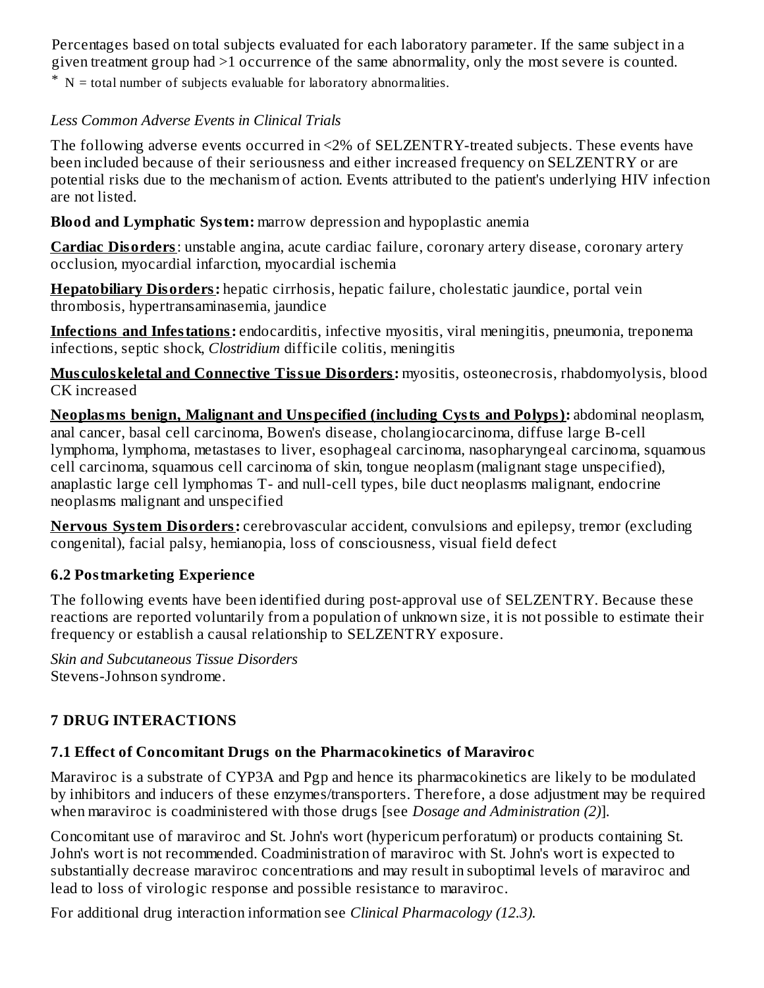Percentages based on total subjects evaluated for each laboratory parameter. If the same subject in a given treatment group had >1 occurrence of the same abnormality, only the most severe is counted.

\* N = total number of subjects evaluable for laboratory abnormalities.

## *Less Common Adverse Events in Clinical Trials*

The following adverse events occurred in <2% of SELZENTRY-treated subjects. These events have been included because of their seriousness and either increased frequency on SELZENTRY or are potential risks due to the mechanism of action. Events attributed to the patient's underlying HIV infection are not listed.

**Blood and Lymphatic System:** marrow depression and hypoplastic anemia

**Cardiac Disorders**: unstable angina, acute cardiac failure, coronary artery disease, coronary artery occlusion, myocardial infarction, myocardial ischemia

**Hepatobiliary Disorders:** hepatic cirrhosis, hepatic failure, cholestatic jaundice, portal vein thrombosis, hypertransaminasemia, jaundice

**Infections and Infestations:** endocarditis, infective myositis, viral meningitis, pneumonia, treponema infections, septic shock, *Clostridium* difficile colitis, meningitis

**Mus culoskeletal and Connective Tissue Disorders:** myositis, osteonecrosis, rhabdomyolysis, blood CK increased

**Neoplasms benign, Malignant and Unspecified (including Cysts and Polyps):** abdominal neoplasm, anal cancer, basal cell carcinoma, Bowen's disease, cholangiocarcinoma, diffuse large B-cell lymphoma, lymphoma, metastases to liver, esophageal carcinoma, nasopharyngeal carcinoma, squamous cell carcinoma, squamous cell carcinoma of skin, tongue neoplasm (malignant stage unspecified), anaplastic large cell lymphomas T- and null-cell types, bile duct neoplasms malignant, endocrine neoplasms malignant and unspecified

**Nervous System Disorders:** cerebrovascular accident, convulsions and epilepsy, tremor (excluding congenital), facial palsy, hemianopia, loss of consciousness, visual field defect

## **6.2 Postmarketing Experience**

The following events have been identified during post-approval use of SELZENTRY. Because these reactions are reported voluntarily from a population of unknown size, it is not possible to estimate their frequency or establish a causal relationship to SELZENTRY exposure.

*Skin and Subcutaneous Tissue Disorders* Stevens-Johnson syndrome.

## **7 DRUG INTERACTIONS**

## **7.1 Effect of Concomitant Drugs on the Pharmacokinetics of Maraviroc**

Maraviroc is a substrate of CYP3A and Pgp and hence its pharmacokinetics are likely to be modulated by inhibitors and inducers of these enzymes/transporters. Therefore, a dose adjustment may be required when maraviroc is coadministered with those drugs [see *Dosage and Administration (2)*].

Concomitant use of maraviroc and St. John's wort (hypericum perforatum) or products containing St. John's wort is not recommended. Coadministration of maraviroc with St. John's wort is expected to substantially decrease maraviroc concentrations and may result in suboptimal levels of maraviroc and lead to loss of virologic response and possible resistance to maraviroc.

For additional drug interaction information see *Clinical Pharmacology (12.3).*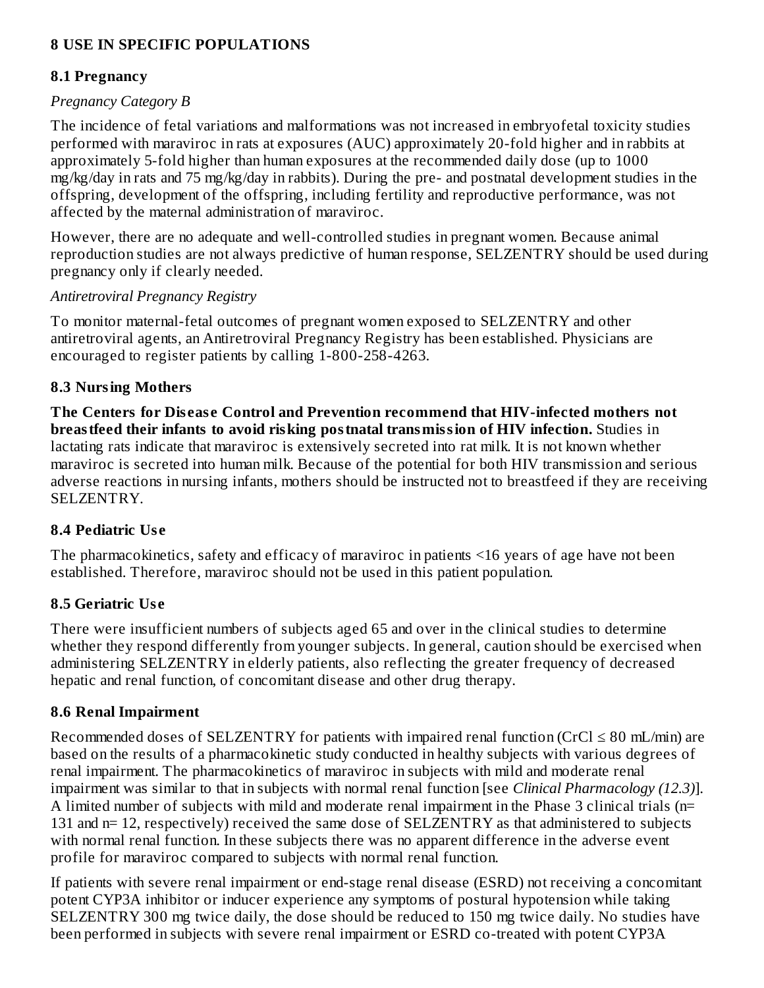#### **8 USE IN SPECIFIC POPULATIONS**

#### **8.1 Pregnancy**

#### *Pregnancy Category B*

The incidence of fetal variations and malformations was not increased in embryofetal toxicity studies performed with maraviroc in rats at exposures (AUC) approximately 20-fold higher and in rabbits at approximately 5-fold higher than human exposures at the recommended daily dose (up to 1000 mg/kg/day in rats and 75 mg/kg/day in rabbits). During the pre- and postnatal development studies in the offspring, development of the offspring, including fertility and reproductive performance, was not affected by the maternal administration of maraviroc.

However, there are no adequate and well-controlled studies in pregnant women. Because animal reproduction studies are not always predictive of human response, SELZENTRY should be used during pregnancy only if clearly needed.

#### *Antiretroviral Pregnancy Registry*

To monitor maternal-fetal outcomes of pregnant women exposed to SELZENTRY and other antiretroviral agents, an Antiretroviral Pregnancy Registry has been established. Physicians are encouraged to register patients by calling 1-800-258-4263.

#### **8.3 Nursing Mothers**

**The Centers for Dis eas e Control and Prevention recommend that HIV-infected mothers not breastfeed their infants to avoid risking postnatal transmission of HIV infection.** Studies in lactating rats indicate that maraviroc is extensively secreted into rat milk. It is not known whether maraviroc is secreted into human milk. Because of the potential for both HIV transmission and serious adverse reactions in nursing infants, mothers should be instructed not to breastfeed if they are receiving SELZENTRY.

#### **8.4 Pediatric Us e**

The pharmacokinetics, safety and efficacy of maraviroc in patients <16 years of age have not been established. Therefore, maraviroc should not be used in this patient population.

#### **8.5 Geriatric Us e**

There were insufficient numbers of subjects aged 65 and over in the clinical studies to determine whether they respond differently from younger subjects. In general, caution should be exercised when administering SELZENTRY in elderly patients, also reflecting the greater frequency of decreased hepatic and renal function, of concomitant disease and other drug therapy.

#### **8.6 Renal Impairment**

Recommended doses of SELZENTRY for patients with impaired renal function (CrCl  $\leq 80$  mL/min) are based on the results of a pharmacokinetic study conducted in healthy subjects with various degrees of renal impairment. The pharmacokinetics of maraviroc in subjects with mild and moderate renal impairment was similar to that in subjects with normal renal function [see *Clinical Pharmacology (12.3)*]. A limited number of subjects with mild and moderate renal impairment in the Phase 3 clinical trials (n= 131 and n= 12, respectively) received the same dose of SELZENTRY as that administered to subjects with normal renal function. In these subjects there was no apparent difference in the adverse event profile for maraviroc compared to subjects with normal renal function.

If patients with severe renal impairment or end-stage renal disease (ESRD) not receiving a concomitant potent CYP3A inhibitor or inducer experience any symptoms of postural hypotension while taking SELZENTRY 300 mg twice daily, the dose should be reduced to 150 mg twice daily. No studies have been performed in subjects with severe renal impairment or ESRD co-treated with potent CYP3A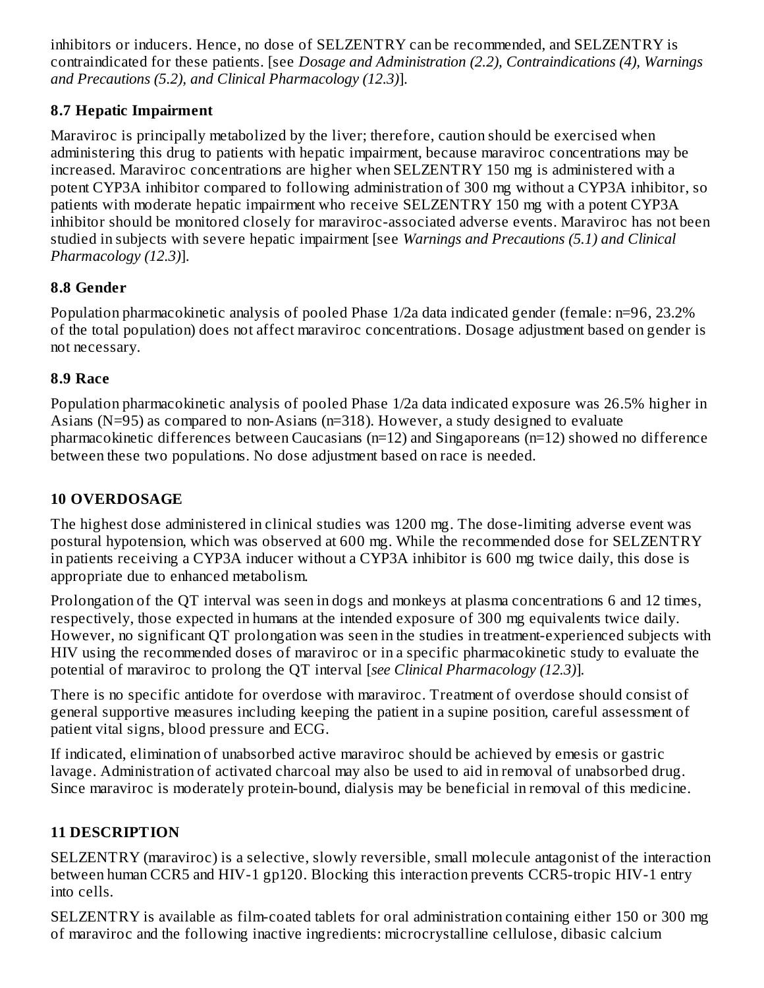inhibitors or inducers. Hence, no dose of SELZENTRY can be recommended, and SELZENTRY is contraindicated for these patients. [see *Dosage and Administration (2.2), Contraindications (4), Warnings and Precautions (5.2), and Clinical Pharmacology (12.3)*].

## **8.7 Hepatic Impairment**

Maraviroc is principally metabolized by the liver; therefore, caution should be exercised when administering this drug to patients with hepatic impairment, because maraviroc concentrations may be increased. Maraviroc concentrations are higher when SELZENTRY 150 mg is administered with a potent CYP3A inhibitor compared to following administration of 300 mg without a CYP3A inhibitor, so patients with moderate hepatic impairment who receive SELZENTRY 150 mg with a potent CYP3A inhibitor should be monitored closely for maraviroc-associated adverse events. Maraviroc has not been studied in subjects with severe hepatic impairment [see *Warnings and Precautions (5.1) and Clinical Pharmacology (12.3)*].

## **8.8 Gender**

Population pharmacokinetic analysis of pooled Phase 1/2a data indicated gender (female: n=96, 23.2% of the total population) does not affect maraviroc concentrations. Dosage adjustment based on gender is not necessary.

## **8.9 Race**

Population pharmacokinetic analysis of pooled Phase 1/2a data indicated exposure was 26.5% higher in Asians (N=95) as compared to non-Asians (n=318). However, a study designed to evaluate pharmacokinetic differences between Caucasians (n=12) and Singaporeans (n=12) showed no difference between these two populations. No dose adjustment based on race is needed.

## **10 OVERDOSAGE**

The highest dose administered in clinical studies was 1200 mg. The dose-limiting adverse event was postural hypotension, which was observed at 600 mg. While the recommended dose for SELZENTRY in patients receiving a CYP3A inducer without a CYP3A inhibitor is 600 mg twice daily, this dose is appropriate due to enhanced metabolism.

Prolongation of the QT interval was seen in dogs and monkeys at plasma concentrations 6 and 12 times, respectively, those expected in humans at the intended exposure of 300 mg equivalents twice daily. However, no significant QT prolongation was seen in the studies in treatment-experienced subjects with HIV using the recommended doses of maraviroc or in a specific pharmacokinetic study to evaluate the potential of maraviroc to prolong the QT interval [*see Clinical Pharmacology (12.3)*]*.*

There is no specific antidote for overdose with maraviroc. Treatment of overdose should consist of general supportive measures including keeping the patient in a supine position, careful assessment of patient vital signs, blood pressure and ECG.

If indicated, elimination of unabsorbed active maraviroc should be achieved by emesis or gastric lavage. Administration of activated charcoal may also be used to aid in removal of unabsorbed drug. Since maraviroc is moderately protein-bound, dialysis may be beneficial in removal of this medicine.

## **11 DESCRIPTION**

SELZENTRY (maraviroc) is a selective, slowly reversible, small molecule antagonist of the interaction between human CCR5 and HIV-1 gp120. Blocking this interaction prevents CCR5-tropic HIV-1 entry into cells*.*

SELZENTRY is available as film-coated tablets for oral administration containing either 150 or 300 mg of maraviroc and the following inactive ingredients: microcrystalline cellulose, dibasic calcium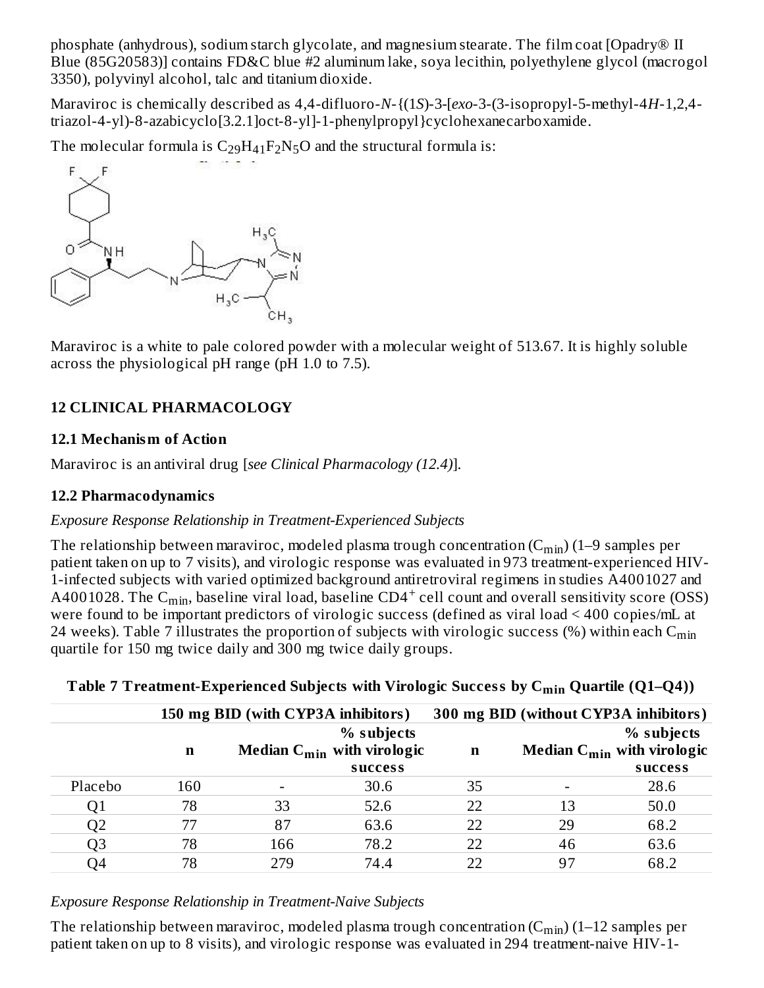phosphate (anhydrous), sodium starch glycolate, and magnesium stearate. The film coat [Opadry® II Blue (85G20583)] contains FD&C blue #2 aluminum lake, soya lecithin, polyethylene glycol (macrogol 3350), polyvinyl alcohol, talc and titanium dioxide.

Maraviroc is chemically described as 4,4-difluoro-*N*-{(1*S*)-3*-*[*exo*-3-(3-isopropyl-5-methyl-4*H*-1,2,4 triazol-4-yl)-8-azabicyclo[3.2.1]oct-8-yl]-1-phenylpropyl}cyclohexanecarboxamide.

The molecular formula is  $C_{29}H_{41}F_2N_5O$  and the structural formula is:



Maraviroc is a white to pale colored powder with a molecular weight of 513.67. It is highly soluble across the physiological pH range (pH 1.0 to 7.5).

## **12 CLINICAL PHARMACOLOGY**

#### **12.1 Mechanism of Action**

Maraviroc is an antiviral drug [*see Clinical Pharmacology (12.4)*].

#### **12.2 Pharmacodynamics**

#### *Exposure Response Relationship in Treatment-Experienced Subjects*

The relationship between maraviroc, modeled plasma trough concentration (C $_{\rm min}$ ) (1–9 samples per patient taken on up to 7 visits), and virologic response was evaluated in 973 treatment-experienced HIV-1-infected subjects with varied optimized background antiretroviral regimens in studies A4001027 and A4001028. The C $_{\rm min}$ , baseline viral load, baseline CD4 $^+$  cell count and overall sensitivity score (OSS) were found to be important predictors of virologic success (defined as viral load < 400 copies/mL at 24 weeks). Table 7 illustrates the proportion of subjects with virologic success (%) within each  $\mathsf{C}_{\min}$ quartile for 150 mg twice daily and 300 mg twice daily groups.

|         |     | 150 mg BID (with CYP3A inhibitors) |                                                          |             | 300 mg BID (without CYP3A inhibitors) |                                                          |
|---------|-----|------------------------------------|----------------------------------------------------------|-------------|---------------------------------------|----------------------------------------------------------|
|         |     |                                    | % subjects                                               |             |                                       | % subjects                                               |
|         | n   |                                    | <b>Median <math>C_{\text{min}}</math> with virologic</b> | $\mathbf n$ |                                       | <b>Median <math>C_{\text{min}}</math> with virologic</b> |
|         |     |                                    | success                                                  |             |                                       | success                                                  |
| Placebo | 160 |                                    | 30.6                                                     | 35          |                                       | 28.6                                                     |
| Q1      | 78  | 33                                 | 52.6                                                     | 22          | 13                                    | 50.0                                                     |
| Q2      | 77  | 87                                 | 63.6                                                     | 22          | 29                                    | 68.2                                                     |
| Q3      | 78  | 166                                | 78.2                                                     | 22          | 46                                    | 63.6                                                     |
| O4      | 78  | 279                                | 74.4                                                     | 22          | 97                                    | 68.2                                                     |

## **Table 7 Treatment-Experienced Subjects with Virologic Success by C Quartile (Q1–Q4)) min**

#### *Exposure Response Relationship in Treatment-Naive Subjects*

The relationship between maraviroc, modeled plasma trough concentration (C $_{\rm min}$ ) (1–12 samples per patient taken on up to 8 visits), and virologic response was evaluated in 294 treatment-naive HIV-1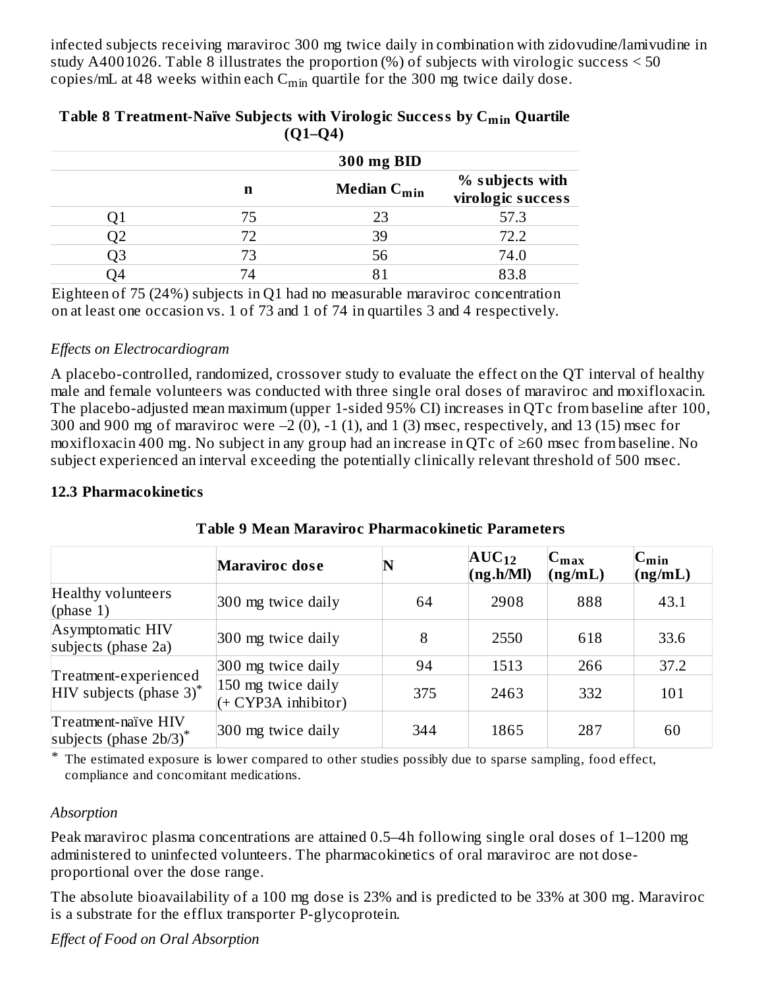infected subjects receiving maraviroc 300 mg twice daily in combination with zidovudine/lamivudine in study A4001026. Table 8 illustrates the proportion (%) of subjects with virologic success < 50 copies/mL at 48 weeks within each  $\mathsf{C}_{\min}$  quartile for the 300 mg twice daily dose.

| (VI-V4) |            |                                     |                                      |  |  |
|---------|------------|-------------------------------------|--------------------------------------|--|--|
|         | 300 mg BID |                                     |                                      |  |  |
|         | n          | <b>Median <math>C_{\min}</math></b> | % subjects with<br>virologic success |  |  |
|         | 75         | 23                                  | 57.3                                 |  |  |
|         | 72         | 39                                  | 72.2                                 |  |  |
|         | 73         | 56                                  | 74.0                                 |  |  |
|         |            |                                     | 83.8                                 |  |  |

#### **Table 8 Treatment-Naïve Subjects with Virologic Success by C Quartile min (Q1–Q4)**

Eighteen of 75 (24%) subjects in Q1 had no measurable maraviroc concentration on at least one occasion vs. 1 of 73 and 1 of 74 in quartiles 3 and 4 respectively.

#### *Effects on Electrocardiogram*

A placebo-controlled, randomized, crossover study to evaluate the effect on the QT interval of healthy male and female volunteers was conducted with three single oral doses of maraviroc and moxifloxacin. The placebo-adjusted mean maximum (upper 1-sided 95% CI) increases in QTc from baseline after 100, 300 and 900 mg of maraviroc were  $-2$  (0),  $-1$  (1), and 1 (3) msec, respectively, and 13 (15) msec for moxifloxacin 400 mg. No subject in any group had an increase in QTc of ≥60 msec from baseline. No subject experienced an interval exceeding the potentially clinically relevant threshold of 500 msec.

#### **12.3 Pharmacokinetics**

|                                                    | <b>Maraviroc dose</b>                       | ${\bf N}$ | $AUC_{12}$<br>(ng.h/Ml) | $C_{\text{max}}$<br>(ng/mL) | $C_{\min}$<br>(ng/mL) |
|----------------------------------------------------|---------------------------------------------|-----------|-------------------------|-----------------------------|-----------------------|
| Healthy volunteers<br>(phase $1$ )                 | 300 mg twice daily                          | 64        | 2908                    | 888                         | 43.1                  |
| Asymptomatic HIV<br>subjects (phase 2a)            | 300 mg twice daily                          | 8         | 2550                    | 618                         | 33.6                  |
|                                                    | 300 mg twice daily                          | 94        | 1513                    | 266                         | 37.2                  |
| Treatment-experienced<br>$HIV$ subjects (phase 3)* | 150 mg twice daily<br>$(+ CYP3A inhibitor)$ | 375       | 2463                    | 332                         | 101                   |
| Treatment-naïve HIV<br>subjects (phase $2b/3$ )*   | 300 mg twice daily                          | 344       | 1865                    | 287                         | 60                    |

**Table 9 Mean Maraviroc Pharmacokinetic Parameters**

\* The estimated exposure is lower compared to other studies possibly due to sparse sampling, food effect, compliance and concomitant medications.

#### *Absorption*

Peak maraviroc plasma concentrations are attained 0.5–4h following single oral doses of 1–1200 mg administered to uninfected volunteers. The pharmacokinetics of oral maraviroc are not doseproportional over the dose range.

The absolute bioavailability of a 100 mg dose is 23% and is predicted to be 33% at 300 mg. Maraviroc is a substrate for the efflux transporter P-glycoprotein.

*Effect of Food on Oral Absorption*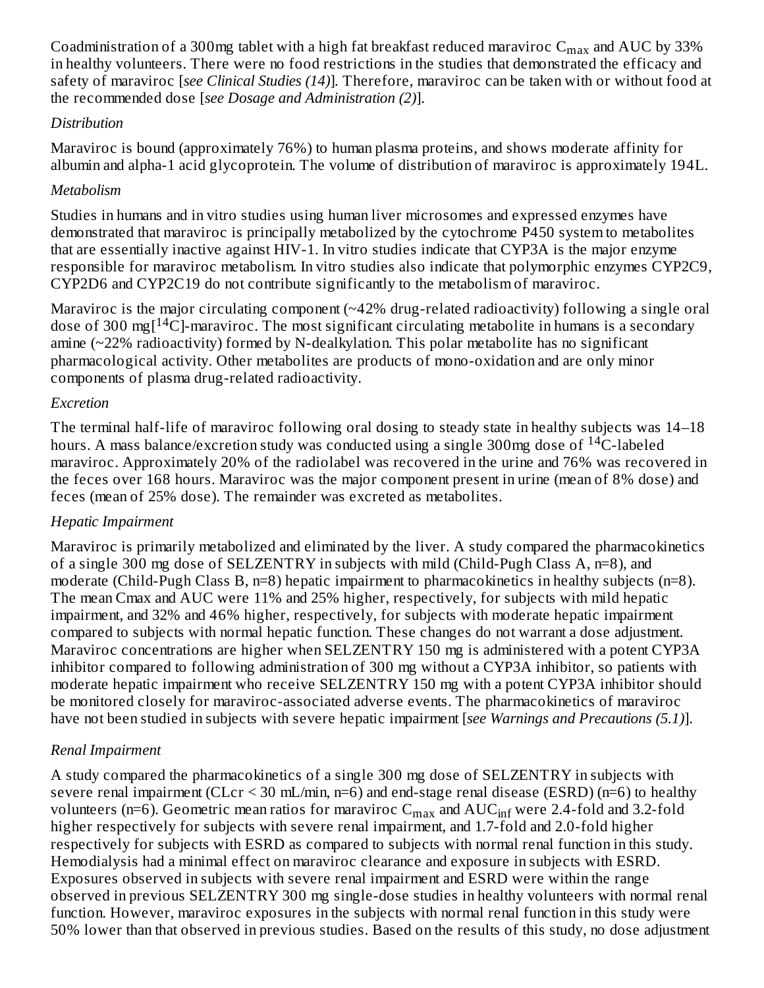Coadministration of a 300mg tablet with a high fat breakfast reduced maraviroc  $\rm{C_{max}}$  and  $\rm{AUC}$  by 33% in healthy volunteers. There were no food restrictions in the studies that demonstrated the efficacy and safety of maraviroc [*see Clinical Studies (14)*]*.* Therefore, maraviroc can be taken with or without food at the recommended dose [*see Dosage and Administration (2)*].

#### *Distribution*

Maraviroc is bound (approximately 76%) to human plasma proteins, and shows moderate affinity for albumin and alpha-1 acid glycoprotein. The volume of distribution of maraviroc is approximately 194L.

## *Metabolism*

Studies in humans and in vitro studies using human liver microsomes and expressed enzymes have demonstrated that maraviroc is principally metabolized by the cytochrome P450 system to metabolites that are essentially inactive against HIV-1. In vitro studies indicate that CYP3A is the major enzyme responsible for maraviroc metabolism. In vitro studies also indicate that polymorphic enzymes CYP2C9, CYP2D6 and CYP2C19 do not contribute significantly to the metabolism of maraviroc.

Maraviroc is the major circulating component (~42% drug-related radioactivity) following a single oral dose of 300 mg $[$ <sup>14</sup>C]-maraviroc. The most significant circulating metabolite in humans is a secondary amine  $(\sim 22\%$  radioactivity) formed by N-dealkylation. This polar metabolite has no significant pharmacological activity. Other metabolites are products of mono-oxidation and are only minor components of plasma drug-related radioactivity.

## *Excretion*

The terminal half-life of maraviroc following oral dosing to steady state in healthy subjects was 14–18 hours. A mass balance/excretion study was conducted using a single 300mg dose of  $^{14}$ C-labeled maraviroc. Approximately 20% of the radiolabel was recovered in the urine and 76% was recovered in the feces over 168 hours. Maraviroc was the major component present in urine (mean of 8% dose) and feces (mean of 25% dose). The remainder was excreted as metabolites.

## *Hepatic Impairment*

Maraviroc is primarily metabolized and eliminated by the liver. A study compared the pharmacokinetics of a single 300 mg dose of SELZENTRY in subjects with mild (Child-Pugh Class A, n=8), and moderate (Child-Pugh Class B, n=8) hepatic impairment to pharmacokinetics in healthy subjects (n=8). The mean Cmax and AUC were 11% and 25% higher, respectively, for subjects with mild hepatic impairment, and 32% and 46% higher, respectively, for subjects with moderate hepatic impairment compared to subjects with normal hepatic function. These changes do not warrant a dose adjustment. Maraviroc concentrations are higher when SELZENTRY 150 mg is administered with a potent CYP3A inhibitor compared to following administration of 300 mg without a CYP3A inhibitor, so patients with moderate hepatic impairment who receive SELZENTRY 150 mg with a potent CYP3A inhibitor should be monitored closely for maraviroc-associated adverse events. The pharmacokinetics of maraviroc have not been studied in subjects with severe hepatic impairment [*see Warnings and Precautions (5.1)*].

## *Renal Impairment*

A study compared the pharmacokinetics of a single 300 mg dose of SELZENTRY in subjects with severe renal impairment (CLcr  $\leq$  30 mL/min, n=6) and end-stage renal disease (ESRD) (n=6) to healthy volunteers (n=6). Geometric mean ratios for maraviroc  $\rm{C_{max}}$  and  $\rm{AUC_{inf}}$  were 2.4-fold and 3.2-fold higher respectively for subjects with severe renal impairment, and 1.7-fold and 2.0-fold higher respectively for subjects with ESRD as compared to subjects with normal renal function in this study. Hemodialysis had a minimal effect on maraviroc clearance and exposure in subjects with ESRD. Exposures observed in subjects with severe renal impairment and ESRD were within the range observed in previous SELZENTRY 300 mg single-dose studies in healthy volunteers with normal renal function. However, maraviroc exposures in the subjects with normal renal function in this study were 50% lower than that observed in previous studies. Based on the results of this study, no dose adjustment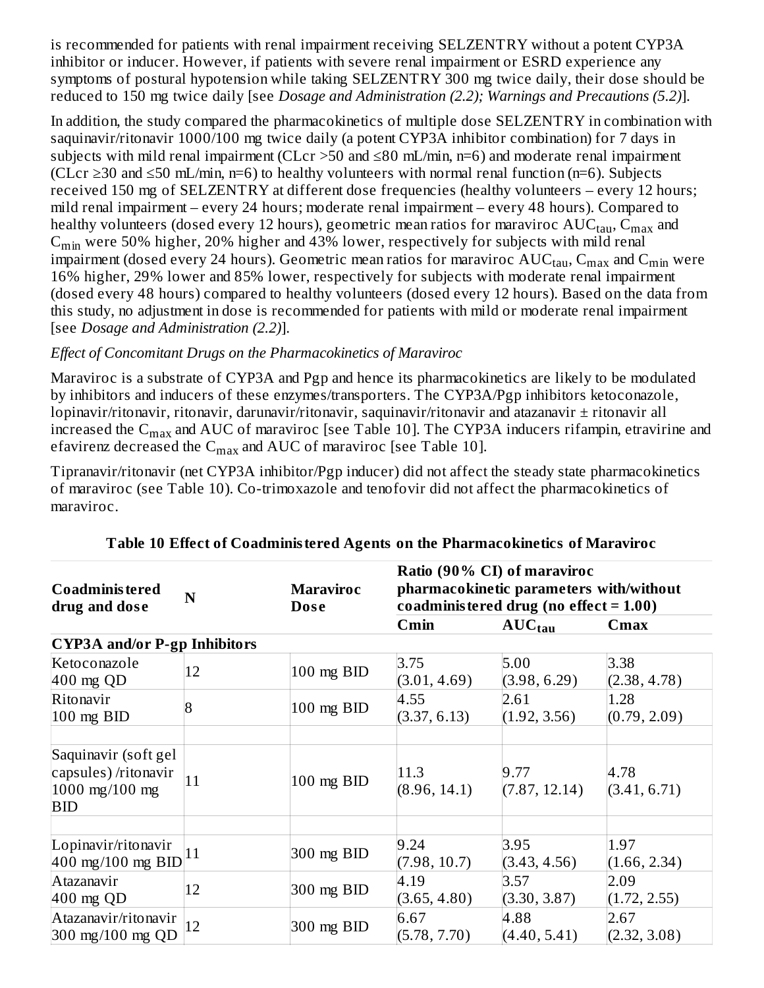is recommended for patients with renal impairment receiving SELZENTRY without a potent CYP3A inhibitor or inducer. However, if patients with severe renal impairment or ESRD experience any symptoms of postural hypotension while taking SELZENTRY 300 mg twice daily, their dose should be reduced to 150 mg twice daily [see *Dosage and Administration (2.2); Warnings and Precautions (5.2)*].

In addition, the study compared the pharmacokinetics of multiple dose SELZENTRY in combination with saquinavir/ritonavir 1000/100 mg twice daily (a potent CYP3A inhibitor combination) for 7 days in subjects with mild renal impairment (CLcr >50 and ≤80 mL/min, n=6) and moderate renal impairment (CLcr ≥30 and ≤50 mL/min, n=6) to healthy volunteers with normal renal function (n=6). Subjects received 150 mg of SELZENTRY at different dose frequencies (healthy volunteers – every 12 hours; mild renal impairment – every 24 hours; moderate renal impairment – every 48 hours). Compared to healthy volunteers (dosed every 12 hours), geometric mean ratios for maraviroc  $\mathrm{AUC}_{\mathrm{tau}}$ ,  $\mathrm{C}_{\mathrm{max}}$  and  $\mathsf{C}_{\mathsf{min}}$  were 50% higher, 20% higher and 43% lower, respectively for subjects with mild renal impairment (dosed every 24 hours). Geometric mean ratios for maraviroc  $\mathrm{AUC}_{\mathrm{tau}}$ ,  $\mathrm{C}_{\mathrm{max}}$  and  $\mathrm{C}_{\mathrm{min}}$  were 16% higher, 29% lower and 85% lower, respectively for subjects with moderate renal impairment (dosed every 48 hours) compared to healthy volunteers (dosed every 12 hours). Based on the data from this study, no adjustment in dose is recommended for patients with mild or moderate renal impairment [see *Dosage and Administration (2.2)*].

#### *Effect of Concomitant Drugs on the Pharmacokinetics of Maraviroc*

Maraviroc is a substrate of CYP3A and Pgp and hence its pharmacokinetics are likely to be modulated by inhibitors and inducers of these enzymes/transporters. The CYP3A/Pgp inhibitors ketoconazole, lopinavir/ritonavir, ritonavir, darunavir/ritonavir, saquinavir/ritonavir and atazanavir ± ritonavir all increased the  $\rm{C_{max}}$  and  $\rm{AUC}$  of maraviroc [see Table 10]. The CYP3A inducers rifampin, etravirine and efavirenz decreased the  $\mathsf{C}_{\max}$  and  $\mathrm{AUC}$  of maraviroc [see Table 10].

Tipranavir/ritonavir (net CYP3A inhibitor/Pgp inducer) did not affect the steady state pharmacokinetics of maraviroc (see Table 10). Co-trimoxazole and tenofovir did not affect the pharmacokinetics of maraviroc.

| Ratio (90% CI) of maraviroc<br>pharmacokinetic parameters with/without<br><b>Maraviroc</b><br><b>Coadministered</b><br>N<br>coadministered drug (no effect $= 1.00$ )<br>drug and dose<br><b>Dose</b> |    |                |                      |                       |                      |
|-------------------------------------------------------------------------------------------------------------------------------------------------------------------------------------------------------|----|----------------|----------------------|-----------------------|----------------------|
|                                                                                                                                                                                                       |    |                | Cmin                 | $AUC_{tau}$           | Cmax                 |
| <b>CYP3A</b> and/or P-gp Inhibitors                                                                                                                                                                   |    |                |                      |                       |                      |
| Ketoconazole<br>$400$ mg QD                                                                                                                                                                           | 12 | 100 mg BID     | 3.75<br>(3.01, 4.69) | 5.00<br>(3.98, 6.29)  | 3.38<br>(2.38, 4.78) |
| Ritonavir<br>$100$ mg BID                                                                                                                                                                             | 8  | $100$ mg $BID$ | 4.55<br>(3.37, 6.13) | 2.61<br>(1.92, 3.56)  | 1.28<br>(0.79, 2.09) |
| Saquinavir (soft gel<br>capsules) /ritonavir<br>1000 mg/100 mg<br><b>BID</b>                                                                                                                          | 11 | 100 mg BID     | 11.3<br>(8.96, 14.1) | 9.77<br>(7.87, 12.14) | 4.78<br>(3.41, 6.71) |
|                                                                                                                                                                                                       |    |                |                      |                       |                      |
| Lopinavir/ritonavir<br>$400$ mg/100 mg BID                                                                                                                                                            | 11 | 300 mg BID     | 9.24<br>(7.98, 10.7) | 3.95<br>(3.43, 4.56)  | 1.97<br>(1.66, 2.34) |
| Atazanavir<br>$400$ mg QD                                                                                                                                                                             | 12 | 300 mg BID     | 4.19<br>(3.65, 4.80) | 3.57<br>(3.30, 3.87)  | 2.09<br>(1.72, 2.55) |
| Atazanavir/ritonavir<br>$300 \text{ mg}/100 \text{ mg QD}$                                                                                                                                            | 12 | 300 mg BID     | 6.67<br>(5.78, 7.70) | 4.88<br>(4.40, 5.41)  | 2.67<br>(2.32, 3.08) |

**Table 10 Effect of Coadministered Agents on the Pharmacokinetics of Maraviroc**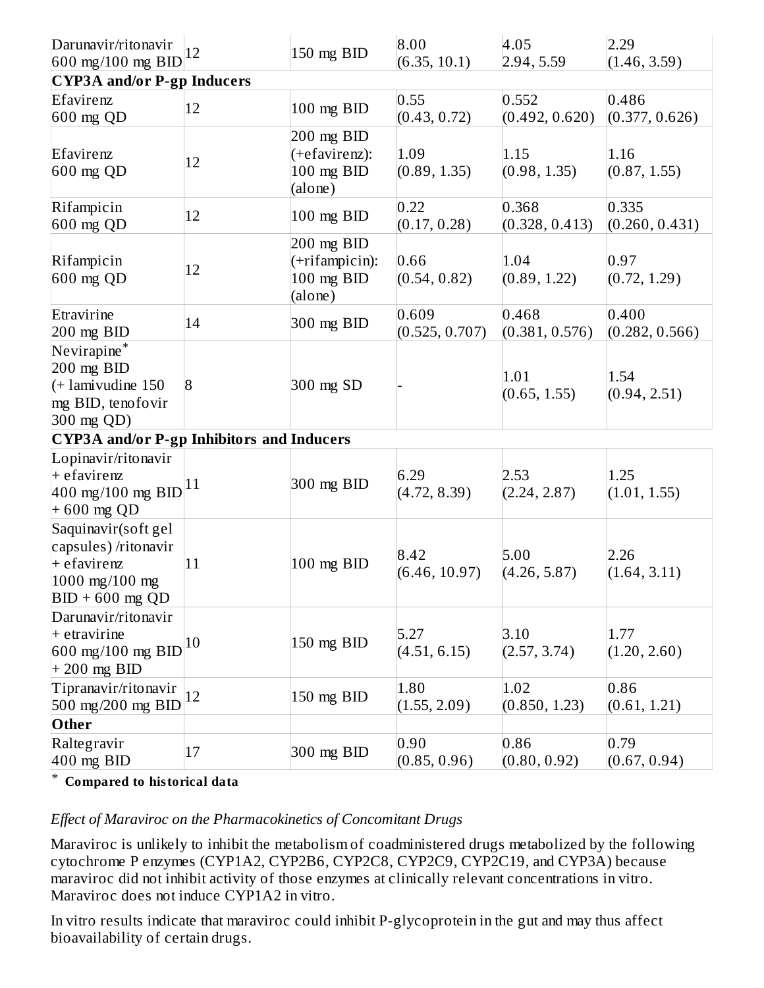| Darunavir/ritonavir<br>600 mg/100 mg BID                                                          | 12             | 150 mg BID                                              | 8.00<br>(6.35, 10.1)    | 4.05<br> 2.94, 5.59     | 2.29<br>(1.46, 3.59)    |
|---------------------------------------------------------------------------------------------------|----------------|---------------------------------------------------------|-------------------------|-------------------------|-------------------------|
| <b>CYP3A and/or P-gp Inducers</b>                                                                 |                |                                                         |                         |                         |                         |
| Efavirenz<br>$600$ mg $QD$                                                                        | 12             | 100 mg BID                                              | 0.55<br>(0.43, 0.72)    | 0.552<br>(0.492, 0.620) | 0.486<br>(0.377, 0.626) |
| Efavirenz<br>$600$ mg QD                                                                          | 12             | 200 mg BID<br>(+efavirenz):<br>100 mg BID<br>(alone)    | 1.09<br>(0.89, 1.35)    | 1.15<br>(0.98, 1.35)    | 1.16<br>(0.87, 1.55)    |
| Rifampicin<br>$600$ mg QD                                                                         | 12             | 100 mg BID                                              | 0.22<br>(0.17, 0.28)    | 0.368<br>(0.328, 0.413) | 0.335<br>(0.260, 0.431) |
| Rifampicin<br>$600$ mg QD                                                                         | 12             | $200$ mg BID<br>(+rifampicin):<br>100 mg BID<br>(alone) | 0.66<br>(0.54, 0.82)    | 1.04<br>(0.89, 1.22)    | 0.97<br>(0.72, 1.29)    |
| Etravirine<br>200 mg BID                                                                          | 14             | 300 mg BID                                              | 0.609<br>(0.525, 0.707) | 0.468<br>(0.381, 0.576) | 0.400<br>(0.282, 0.566) |
| Nevirapine*<br>$200$ mg BID<br>$(+$ lamivudine 150<br>mg BID, tenofovir<br>$ 300 \text{ mg QD} $  | $\overline{8}$ | 300 mg SD                                               |                         | 1.01<br>(0.65, 1.55)    | 1.54<br>(0.94, 2.51)    |
| <b>CYP3A</b> and/or P-gp Inhibitors and Inducers                                                  |                |                                                         |                         |                         |                         |
| Lopinavir/ritonavir<br>+ efavirenz<br>400 mg/100 mg BID<br>+600 mg QD                             | 11             | 300 mg BID                                              | 6.29<br>(4.72, 8.39)    | 2.53<br>(2.24, 2.87)    | 1.25<br>(1.01, 1.55)    |
| Saquinavir(soft gel<br>capsules) /ritonavir<br>+ efavirenz<br>1000 mg/100 mg<br>$BID + 600$ mg QD | 11             | 100 mg BID                                              | 8.42<br>(6.46, 10.97)   | 5.00<br>(4.26, 5.87)    | 2.26<br>(1.64, 3.11)    |
| Darunavir/ritonavir<br>$+$ etravirine<br>600 mg/100 mg BID<br>$+200$ mg BID                       | 10             | 150 mg BID                                              | 5.27<br>(4.51, 6.15)    | 3.10<br>(2.57, 3.74)    | 1.77<br>(1.20, 2.60)    |
| Tipranavir/ritonavir<br>500 mg/200 mg BID                                                         | 12             | 150 mg BID                                              | 1.80<br>(1.55, 2.09)    | 1.02<br>(0.850, 1.23)   | 0.86<br>(0.61, 1.21)    |
| Other                                                                                             |                |                                                         |                         |                         |                         |
| Raltegravir<br>$400$ mg BID                                                                       | 17             | $300$ mg $BID$                                          | 0.90<br>(0.85, 0.96)    | 0.86<br>(0.80, 0.92)    | 0.79<br>(0.67, 0.94)    |

\* **Compared to historical data**

#### *Effect of Maraviroc on the Pharmacokinetics of Concomitant Drugs*

Maraviroc is unlikely to inhibit the metabolism of coadministered drugs metabolized by the following cytochrome P enzymes (CYP1A2, CYP2B6, CYP2C8, CYP2C9, CYP2C19, and CYP3A) because maraviroc did not inhibit activity of those enzymes at clinically relevant concentrations in vitro. Maraviroc does not induce CYP1A2 in vitro.

In vitro results indicate that maraviroc could inhibit P-glycoprotein in the gut and may thus affect bioavailability of certain drugs.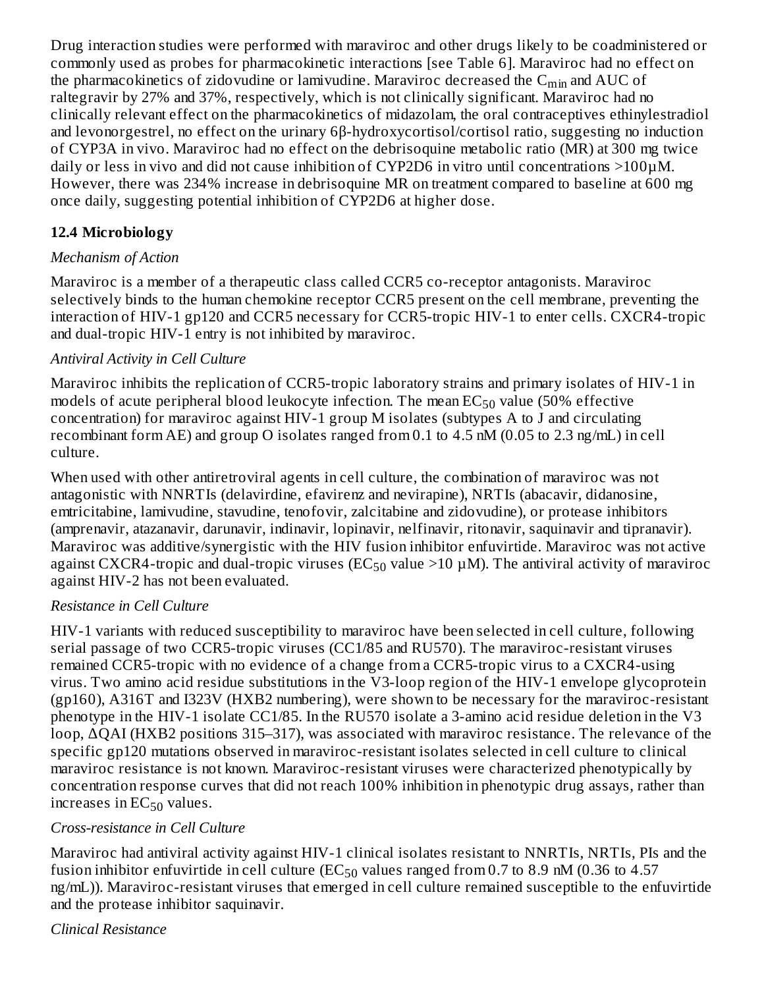Drug interaction studies were performed with maraviroc and other drugs likely to be coadministered or commonly used as probes for pharmacokinetic interactions [see Table 6]. Maraviroc had no effect on the pharmacokinetics of zidovudine or lamivudine. Maraviroc decreased the  $\mathsf{C}_{\min}$  and  $\mathsf{AUC}$  of raltegravir by 27% and 37%, respectively, which is not clinically significant. Maraviroc had no clinically relevant effect on the pharmacokinetics of midazolam, the oral contraceptives ethinylestradiol and levonorgestrel, no effect on the urinary 6β-hydroxycortisol/cortisol ratio, suggesting no induction of CYP3A in vivo. Maraviroc had no effect on the debrisoquine metabolic ratio (MR) at 300 mg twice daily or less in vivo and did not cause inhibition of CYP2D6 in vitro until concentrations >100µM. However, there was 234% increase in debrisoquine MR on treatment compared to baseline at 600 mg once daily, suggesting potential inhibition of CYP2D6 at higher dose.

## **12.4 Microbiology**

#### *Mechanism of Action*

Maraviroc is a member of a therapeutic class called CCR5 co-receptor antagonists. Maraviroc selectively binds to the human chemokine receptor CCR5 present on the cell membrane, preventing the interaction of HIV-1 gp120 and CCR5 necessary for CCR5-tropic HIV-1 to enter cells. CXCR4-tropic and dual-tropic HIV-1 entry is not inhibited by maraviroc.

#### *Antiviral Activity in Cell Culture*

Maraviroc inhibits the replication of CCR5-tropic laboratory strains and primary isolates of HIV-1 in models of acute peripheral blood leukocyte infection. The mean  $\mathrm{EC}_{50}$  value (50% effective concentration) for maraviroc against HIV-1 group M isolates (subtypes A to J and circulating recombinant form AE) and group O isolates ranged from 0.1 to 4.5 nM (0.05 to 2.3 ng/mL) in cell culture.

When used with other antiretroviral agents in cell culture, the combination of maraviroc was not antagonistic with NNRTIs (delavirdine, efavirenz and nevirapine), NRTIs (abacavir, didanosine, emtricitabine, lamivudine, stavudine, tenofovir, zalcitabine and zidovudine), or protease inhibitors (amprenavir, atazanavir, darunavir, indinavir, lopinavir, nelfinavir, ritonavir, saquinavir and tipranavir). Maraviroc was additive/synergistic with the HIV fusion inhibitor enfuvirtide. Maraviroc was not active against CXCR4-tropic and dual-tropic viruses (EC $_{50}$  value >10  $\mu$ M). The antiviral activity of maraviroc against HIV-2 has not been evaluated.

## *Resistance in Cell Culture*

HIV-1 variants with reduced susceptibility to maraviroc have been selected in cell culture, following serial passage of two CCR5-tropic viruses (CC1/85 and RU570). The maraviroc-resistant viruses remained CCR5-tropic with no evidence of a change from a CCR5-tropic virus to a CXCR4-using virus. Two amino acid residue substitutions in the V3-loop region of the HIV-1 envelope glycoprotein (gp160), A316T and I323V (HXB2 numbering), were shown to be necessary for the maraviroc-resistant phenotype in the HIV-1 isolate CC1/85. In the RU570 isolate a 3-amino acid residue deletion in the V3 loop, ΔQAI (HXB2 positions 315–317), was associated with maraviroc resistance. The relevance of the specific gp120 mutations observed in maraviroc-resistant isolates selected in cell culture to clinical maraviroc resistance is not known. Maraviroc-resistant viruses were characterized phenotypically by concentration response curves that did not reach 100% inhibition in phenotypic drug assays, rather than increases in  $\mathop{EC_{50}}$  values.

## *Cross-resistance in Cell Culture*

Maraviroc had antiviral activity against HIV-1 clinical isolates resistant to NNRTIs, NRTIs, PIs and the fusion inhibitor enfuvirtide in cell culture (EC $_{50}$  values ranged from 0.7 to 8.9 nM (0.36 to 4.57  $\,$ ng/mL)). Maraviroc-resistant viruses that emerged in cell culture remained susceptible to the enfuvirtide and the protease inhibitor saquinavir.

## *Clinical Resistance*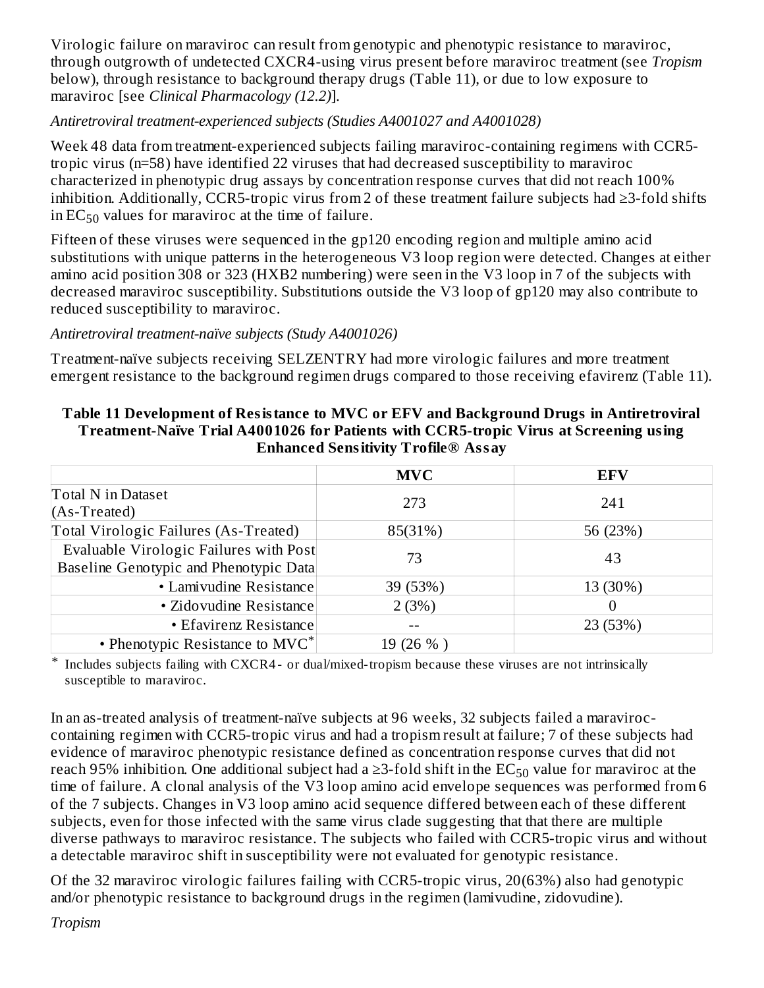Virologic failure on maraviroc can result from genotypic and phenotypic resistance to maraviroc, through outgrowth of undetected CXCR4-using virus present before maraviroc treatment (see *Tropism* below), through resistance to background therapy drugs (Table 11), or due to low exposure to maraviroc [see *Clinical Pharmacology (12.2)*].

#### *Antiretroviral treatment-experienced subjects (Studies A4001027 and A4001028)*

Week 48 data from treatment-experienced subjects failing maraviroc-containing regimens with CCR5 tropic virus (n=58) have identified 22 viruses that had decreased susceptibility to maraviroc characterized in phenotypic drug assays by concentration response curves that did not reach 100% inhibition. Additionally, CCR5-tropic virus from 2 of these treatment failure subjects had ≥3-fold shifts in  $EC_{50}$  values for maraviroc at the time of failure.

Fifteen of these viruses were sequenced in the gp120 encoding region and multiple amino acid substitutions with unique patterns in the heterogeneous V3 loop region were detected. Changes at either amino acid position 308 or 323 (HXB2 numbering) were seen in the V3 loop in 7 of the subjects with decreased maraviroc susceptibility. Substitutions outside the V3 loop of gp120 may also contribute to reduced susceptibility to maraviroc.

#### *Antiretroviral treatment-naïve subjects (Study A4001026)*

Treatment-naïve subjects receiving SELZENTRY had more virologic failures and more treatment emergent resistance to the background regimen drugs compared to those receiving efavirenz (Table 11).

#### **Table 11 Development of Resistance to MVC or EFV and Background Drugs in Antiretroviral Treatment-Naïve Trial A4001026 for Patients with CCR5-tropic Virus at Screening using Enhanced Sensitivity Trofile® Assay**

|                                        | <b>MVC</b> | <b>EFV</b> |
|----------------------------------------|------------|------------|
| Total N in Dataset                     | 273        | 241        |
| $(As-Treated)$                         |            |            |
| Total Virologic Failures (As-Treated)  | 85(31%)    | 56 (23%)   |
| Evaluable Virologic Failures with Post | 73         | 43         |
| Baseline Genotypic and Phenotypic Data |            |            |
| • Lamivudine Resistance                | 39 (53%)   | 13 (30%)   |
| • Zidovudine Resistance                | 2(3%)      |            |
| • Efavirenz Resistance                 |            | 23 (53%)   |
| • Phenotypic Resistance to MVC*        | 19 (26 %)  |            |

\* Includes subjects failing with CXCR4 - or dual/mixed-tropism because these viruses are not intrinsically susceptible to maraviroc.

In an as-treated analysis of treatment-naïve subjects at 96 weeks, 32 subjects failed a maraviroccontaining regimen with CCR5-tropic virus and had a tropism result at failure; 7 of these subjects had evidence of maraviroc phenotypic resistance defined as concentration response curves that did not reach 95% inhibition. One additional subject had a ≥3-fold shift in the  $\mathrm{EC}_{50}$  value for maraviroc at the time of failure. A clonal analysis of the V3 loop amino acid envelope sequences was performed from 6 of the 7 subjects. Changes in V3 loop amino acid sequence differed between each of these different subjects, even for those infected with the same virus clade suggesting that that there are multiple diverse pathways to maraviroc resistance. The subjects who failed with CCR5-tropic virus and without a detectable maraviroc shift in susceptibility were not evaluated for genotypic resistance.

Of the 32 maraviroc virologic failures failing with CCR5-tropic virus, 20(63%) also had genotypic and/or phenotypic resistance to background drugs in the regimen (lamivudine, zidovudine).

*Tropism*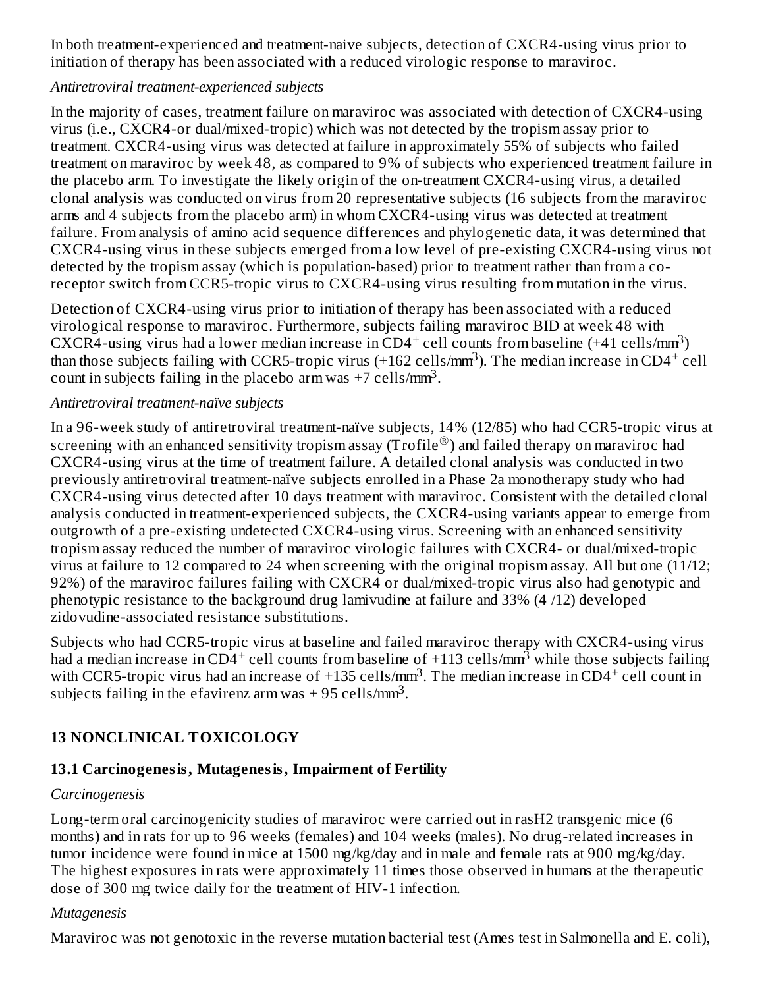In both treatment-experienced and treatment-naive subjects, detection of CXCR4-using virus prior to initiation of therapy has been associated with a reduced virologic response to maraviroc.

#### *Antiretroviral treatment-experienced subjects*

In the majority of cases, treatment failure on maraviroc was associated with detection of CXCR4-using virus (i.e., CXCR4-or dual/mixed-tropic) which was not detected by the tropism assay prior to treatment. CXCR4-using virus was detected at failure in approximately 55% of subjects who failed treatment on maraviroc by week 48, as compared to 9% of subjects who experienced treatment failure in the placebo arm. To investigate the likely origin of the on-treatment CXCR4-using virus, a detailed clonal analysis was conducted on virus from 20 representative subjects (16 subjects from the maraviroc arms and 4 subjects from the placebo arm) in whom CXCR4-using virus was detected at treatment failure. From analysis of amino acid sequence differences and phylogenetic data, it was determined that CXCR4-using virus in these subjects emerged from a low level of pre-existing CXCR4-using virus not detected by the tropism assay (which is population-based) prior to treatment rather than from a coreceptor switch from CCR5-tropic virus to CXCR4-using virus resulting from mutation in the virus.

Detection of CXCR4-using virus prior to initiation of therapy has been associated with a reduced virological response to maraviroc. Furthermore, subjects failing maraviroc BID at week 48 with CXCR4-using virus had a lower median increase in CD4<sup>+</sup> cell counts from baseline  $(+41 \text{ cells/mm}^3)$ than those subjects failing with CCR5-tropic virus (+162 cells/mm<sup>3</sup>). The median increase in CD4<sup>+</sup> cell count in subjects failing in the placebo arm was  $+7$  cells/mm<sup>3</sup>.

#### *Antiretroviral treatment-naïve subjects*

In a 96-week study of antiretroviral treatment-naïve subjects, 14% (12/85) who had CCR5-tropic virus at screening with an enhanced sensitivity tropism assay (Trofile®) and failed therapy on maraviroc had CXCR4-using virus at the time of treatment failure. A detailed clonal analysis was conducted in two previously antiretroviral treatment-naïve subjects enrolled in a Phase 2a monotherapy study who had CXCR4-using virus detected after 10 days treatment with maraviroc. Consistent with the detailed clonal analysis conducted in treatment-experienced subjects, the CXCR4-using variants appear to emerge from outgrowth of a pre-existing undetected CXCR4-using virus. Screening with an enhanced sensitivity tropism assay reduced the number of maraviroc virologic failures with CXCR4- or dual/mixed-tropic virus at failure to 12 compared to 24 when screening with the original tropism assay. All but one (11/12; 92%) of the maraviroc failures failing with CXCR4 or dual/mixed-tropic virus also had genotypic and phenotypic resistance to the background drug lamivudine at failure and 33% (4 /12) developed zidovudine-associated resistance substitutions.

Subjects who had CCR5-tropic virus at baseline and failed maraviroc therapy with CXCR4-using virus had a median increase in CD4<sup>+</sup> cell counts from baseline of +113 cells/mm<sup>3</sup> while those subjects failing with CCR5-tropic virus had an increase of +135 cells/mm<sup>3</sup>. The median increase in CD4<sup>+</sup> cell count in subjects failing in the efavirenz arm was  $+95$  cells/mm<sup>3</sup>.

## **13 NONCLINICAL TOXICOLOGY**

#### **13.1 Carcinogenesis, Mutagenesis, Impairment of Fertility**

#### *Carcinogenesis*

Long-term oral carcinogenicity studies of maraviroc were carried out in rasH2 transgenic mice (6 months) and in rats for up to 96 weeks (females) and 104 weeks (males). No drug-related increases in tumor incidence were found in mice at 1500 mg/kg/day and in male and female rats at 900 mg/kg/day. The highest exposures in rats were approximately 11 times those observed in humans at the therapeutic dose of 300 mg twice daily for the treatment of HIV-1 infection.

#### *Mutagenesis*

Maraviroc was not genotoxic in the reverse mutation bacterial test (Ames test in Salmonella and E. coli),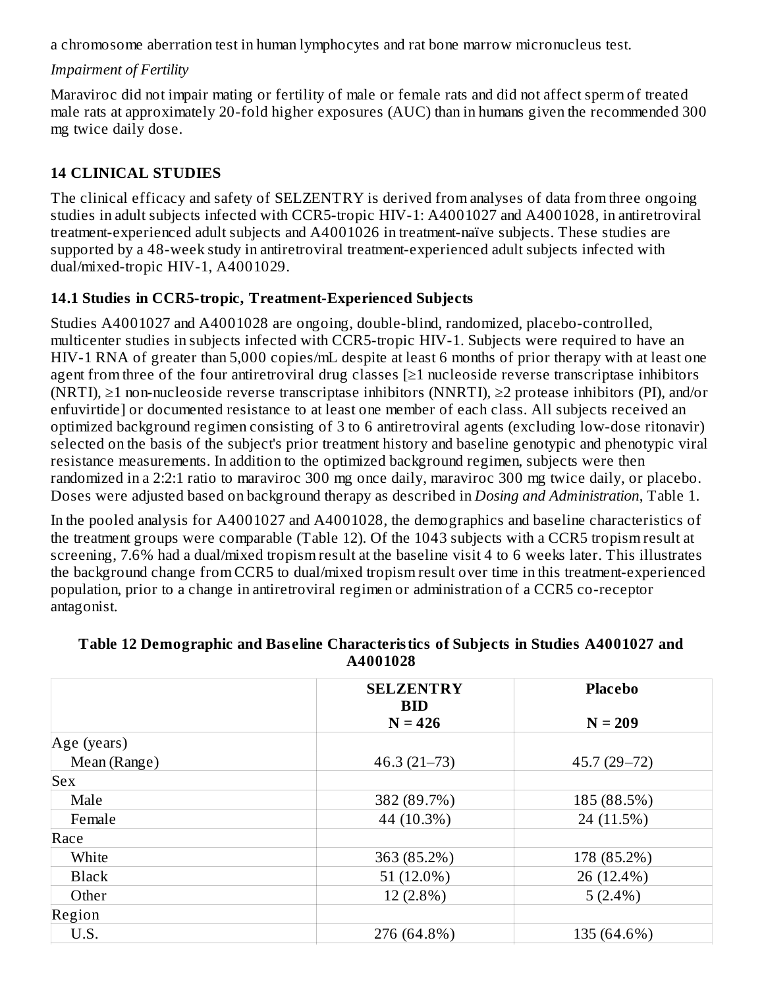a chromosome aberration test in human lymphocytes and rat bone marrow micronucleus test.

#### *Impairment of Fertility*

Maraviroc did not impair mating or fertility of male or female rats and did not affect sperm of treated male rats at approximately 20-fold higher exposures (AUC) than in humans given the recommended 300 mg twice daily dose.

## **14 CLINICAL STUDIES**

The clinical efficacy and safety of SELZENTRY is derived from analyses of data from three ongoing studies in adult subjects infected with CCR5-tropic HIV-1: A4001027 and A4001028, in antiretroviral treatment-experienced adult subjects and A4001026 in treatment-naïve subjects. These studies are supported by a 48-week study in antiretroviral treatment-experienced adult subjects infected with dual/mixed-tropic HIV-1, A4001029.

## **14.1 Studies in CCR5-tropic, Treatment-Experienced Subjects**

Studies A4001027 and A4001028 are ongoing, double-blind, randomized, placebo-controlled, multicenter studies in subjects infected with CCR5-tropic HIV-1. Subjects were required to have an HIV-1 RNA of greater than 5,000 copies/mL despite at least 6 months of prior therapy with at least one agent from three of the four antiretroviral drug classes [≥1 nucleoside reverse transcriptase inhibitors (NRTI), ≥1 non-nucleoside reverse transcriptase inhibitors (NNRTI), ≥2 protease inhibitors (PI), and/or enfuvirtide] or documented resistance to at least one member of each class. All subjects received an optimized background regimen consisting of 3 to 6 antiretroviral agents (excluding low-dose ritonavir) selected on the basis of the subject's prior treatment history and baseline genotypic and phenotypic viral resistance measurements. In addition to the optimized background regimen, subjects were then randomized in a 2:2:1 ratio to maraviroc 300 mg once daily, maraviroc 300 mg twice daily, or placebo. Doses were adjusted based on background therapy as described in *Dosing and Administration*, Table 1.

In the pooled analysis for A4001027 and A4001028, the demographics and baseline characteristics of the treatment groups were comparable (Table 12). Of the 1043 subjects with a CCR5 tropism result at screening, 7.6% had a dual/mixed tropism result at the baseline visit 4 to 6 weeks later. This illustrates the background change from CCR5 to dual/mixed tropism result over time in this treatment-experienced population, prior to a change in antiretroviral regimen or administration of a CCR5 co-receptor antagonist.

|              | <b>SELZENTRY</b>        | <b>Placebo</b> |  |
|--------------|-------------------------|----------------|--|
|              | <b>BID</b><br>$N = 426$ | $N = 209$      |  |
| Age (years)  |                         |                |  |
| Mean (Range) | $46.3(21-73)$           | $45.7(29-72)$  |  |
| <b>Sex</b>   |                         |                |  |
| Male         | 382 (89.7%)             | 185 (88.5%)    |  |
| Female       | 44 (10.3%)              | 24 (11.5%)     |  |
| Race         |                         |                |  |
| White        | 363 (85.2%)             | 178 (85.2%)    |  |
| <b>Black</b> | 51 (12.0%)              | 26 (12.4%)     |  |
| Other        | 12 (2.8%)               | $5(2.4\%)$     |  |
| Region       |                         |                |  |
| U.S.         | 276 (64.8%)             | 135 (64.6%)    |  |

#### **Table 12 Demographic and Bas eline Characteristics of Subjects in Studies A4001027 and A4001028**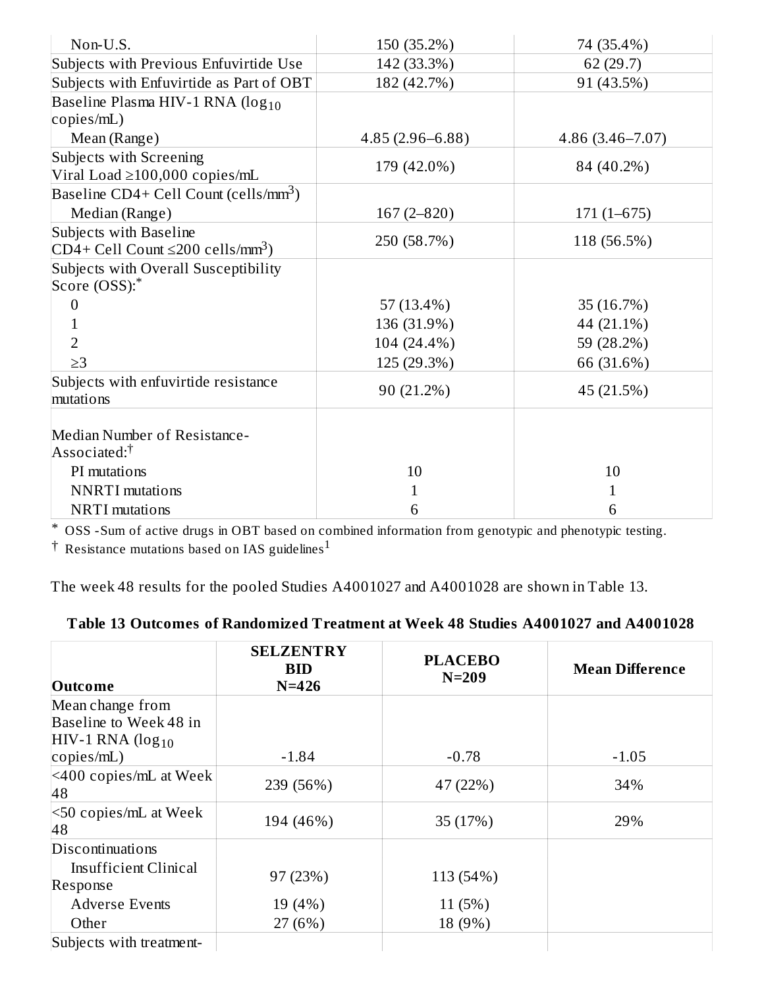| Non-U.S.                                           | 150 (35.2%)         | 74 (35.4%)          |
|----------------------------------------------------|---------------------|---------------------|
| Subjects with Previous Enfuvirtide Use             | 142 (33.3%)         | 62 (29.7)           |
| Subjects with Enfuvirtide as Part of OBT           | 182 (42.7%)         | 91 (43.5%)          |
| Baseline Plasma HIV-1 RNA (log <sub>10</sub>       |                     |                     |
| copies/mL)                                         |                     |                     |
|                                                    |                     |                     |
| Mean (Range)                                       | $4.85(2.96 - 6.88)$ | $4.86(3.46 - 7.07)$ |
| Subjects with Screening                            | 179 (42.0%)         | 84 (40.2%)          |
| Viral Load $\geq$ 100,000 copies/mL                |                     |                     |
| Baseline $CD4+Cell$ Count (cells/mm <sup>3</sup> ) |                     |                     |
| Median (Range)                                     | $167(2 - 820)$      | $171(1 - 675)$      |
| Subjects with Baseline                             | 250 (58.7%)         | 118 (56.5%)         |
| $CD4+Cell Count \leq 200 cells/mm^3$               |                     |                     |
| Subjects with Overall Susceptibility               |                     |                     |
| Score (OSS):*                                      |                     |                     |
| $\Omega$                                           | 57 (13.4%)          | 35 (16.7%)          |
| 1                                                  | 136 (31.9%)         | 44 (21.1%)          |
| $\overline{2}$                                     | 104 (24.4%)         | 59 (28.2%)          |
| $\geq$ 3                                           | 125 (29.3%)         | 66 (31.6%)          |
| Subjects with enfuvirtide resistance               |                     |                     |
| mutations                                          | 90 (21.2%)          | 45 (21.5%)          |
|                                                    |                     |                     |
| Median Number of Resistance-                       |                     |                     |
| Associated: <sup>†</sup>                           |                     |                     |
| PI mutations                                       | 10                  | 10                  |
| <b>NNRTI</b> mutations                             | 1                   | 1                   |
| <b>NRTI</b> mutations                              | 6                   | 6                   |

\* OSS -Sum of active drugs in OBT based on combined information from genotypic and phenotypic testing.

 $\dagger$  Resistance mutations based on IAS guidelines $^1$ 

The week 48 results for the pooled Studies A4001027 and A4001028 are shown in Table 13.

## **Table 13 Outcomes of Randomized Treatment at Week 48 Studies A4001027 and A4001028**

| <b>Outcome</b>                                                    | <b>SELZENTRY</b><br><b>BID</b><br>$N = 426$ | <b>PLACEBO</b><br>$N=209$ | <b>Mean Difference</b> |
|-------------------------------------------------------------------|---------------------------------------------|---------------------------|------------------------|
| Mean change from<br>Baseline to Week 48 in<br>$HIV-1 RNA (log10)$ |                                             |                           |                        |
| $\text{copies/mL}$ )                                              | $-1.84$                                     | $-0.78$                   | $-1.05$                |
| $ $ <400 copies/mL at Week<br>48                                  | 239 (56%)                                   | 47 (22%)                  | 34%                    |
| $\leq 50$ copies/mL at Week<br>48                                 | 194 (46%)                                   | 35 (17%)                  | 29%                    |
| Discontinuations                                                  |                                             |                           |                        |
| Insufficient Clinical<br>Response                                 | 97 (23%)                                    | 113 (54%)                 |                        |
| <b>Adverse Events</b>                                             | 19 (4%)                                     | 11(5%)                    |                        |
| Other                                                             | 27(6%)                                      | 18 (9%)                   |                        |
| Subjects with treatment-                                          |                                             |                           |                        |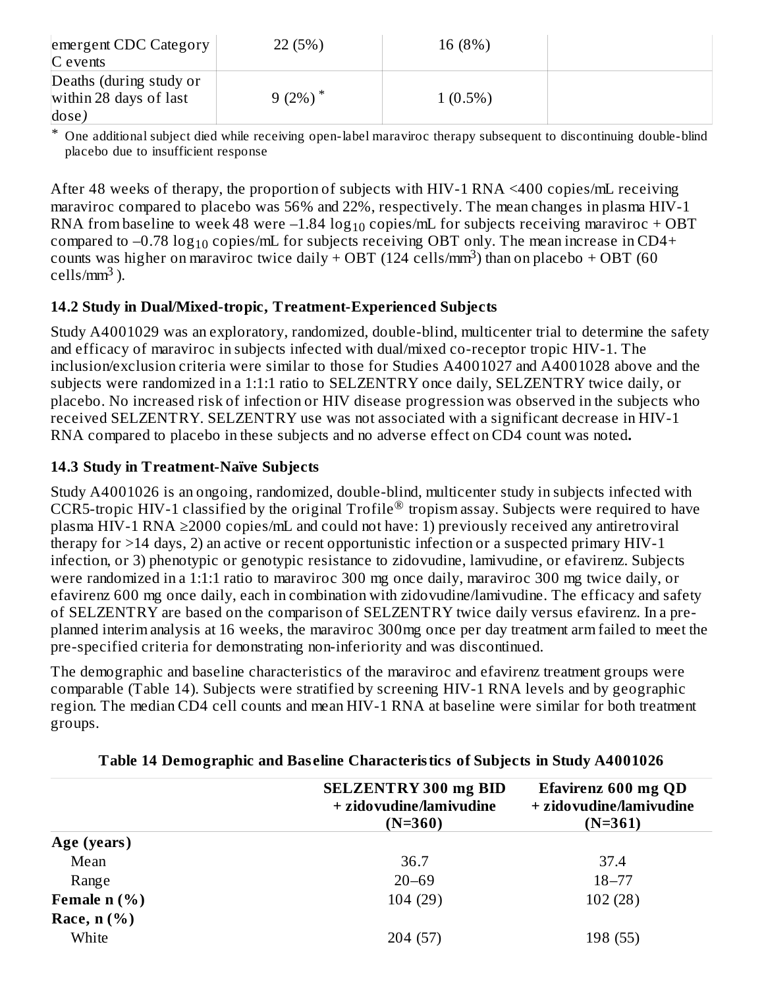| emergent CDC Category<br>$C$ events                        | 22 (5%)             | 16 (8%)    |  |
|------------------------------------------------------------|---------------------|------------|--|
| Deaths (during study or<br>within 28 days of last<br>dose) | 9 (2%) <sup>*</sup> | $1(0.5\%)$ |  |

\* One additional subject died while receiving open-label maraviroc therapy subsequent to discontinuing double-blind placebo due to insufficient response

After 48 weeks of therapy, the proportion of subjects with HIV-1 RNA <400 copies/mL receiving maraviroc compared to placebo was 56% and 22%, respectively. The mean changes in plasma HIV-1 RNA from baseline to week 48 were  $-1.84\,\rm log_{10}$  copies/mL for subjects receiving maraviroc + OBT compared to  $-0.78 \log_{10}$  copies/mL for subjects receiving OBT only. The mean increase in CD4+ counts was higher on maraviroc twice daily + OBT (124 cells/mm<sup>3</sup>) than on placebo + OBT (60 cells/mm<sup>3</sup>).

#### **14.2 Study in Dual/Mixed-tropic, Treatment-Experienced Subjects**

Study A4001029 was an exploratory, randomized, double-blind, multicenter trial to determine the safety and efficacy of maraviroc in subjects infected with dual/mixed co-receptor tropic HIV-1. The inclusion/exclusion criteria were similar to those for Studies A4001027 and A4001028 above and the subjects were randomized in a 1:1:1 ratio to SELZENTRY once daily, SELZENTRY twice daily, or placebo. No increased risk of infection or HIV disease progression was observed in the subjects who received SELZENTRY. SELZENTRY use was not associated with a significant decrease in HIV-1 RNA compared to placebo in these subjects and no adverse effect on CD4 count was noted**.**

## **14.3 Study in Treatment-Naïve Subjects**

Study A4001026 is an ongoing, randomized, double-blind, multicenter study in subjects infected with CCR5-tropic HIV-1 classified by the original Trofile® tropism assay. Subjects were required to have plasma HIV-1 RNA ≥2000 copies/mL and could not have: 1) previously received any antiretroviral therapy for >14 days, 2) an active or recent opportunistic infection or a suspected primary HIV-1 infection, or 3) phenotypic or genotypic resistance to zidovudine, lamivudine, or efavirenz. Subjects were randomized in a 1:1:1 ratio to maraviroc 300 mg once daily, maraviroc 300 mg twice daily, or efavirenz 600 mg once daily, each in combination with zidovudine/lamivudine. The efficacy and safety of SELZENTRY are based on the comparison of SELZENTRY twice daily versus efavirenz. In a preplanned interim analysis at 16 weeks, the maraviroc 300mg once per day treatment arm failed to meet the pre-specified criteria for demonstrating non-inferiority and was discontinued.

The demographic and baseline characteristics of the maraviroc and efavirenz treatment groups were comparable (Table 14). Subjects were stratified by screening HIV-1 RNA levels and by geographic region. The median CD4 cell counts and mean HIV-1 RNA at baseline were similar for both treatment groups.

|                | <b>SELZENTRY 300 mg BID</b><br>+ zidovudine/lamivudine<br>$(N=360)$ | Efavirenz 600 mg QD<br>+ zidovudine/lamivudine<br>$(N=361)$ |
|----------------|---------------------------------------------------------------------|-------------------------------------------------------------|
| Age (years)    |                                                                     |                                                             |
| Mean           | 36.7                                                                | 37.4                                                        |
| Range          | $20 - 69$                                                           | $18 - 77$                                                   |
| Female $n$ (%) | 104(29)                                                             | 102(28)                                                     |
| Race, $n$ (%)  |                                                                     |                                                             |
| White          | 204 (57)                                                            | 198 (55)                                                    |

#### **Table 14 Demographic and Bas eline Characteristics of Subjects in Study A4001026**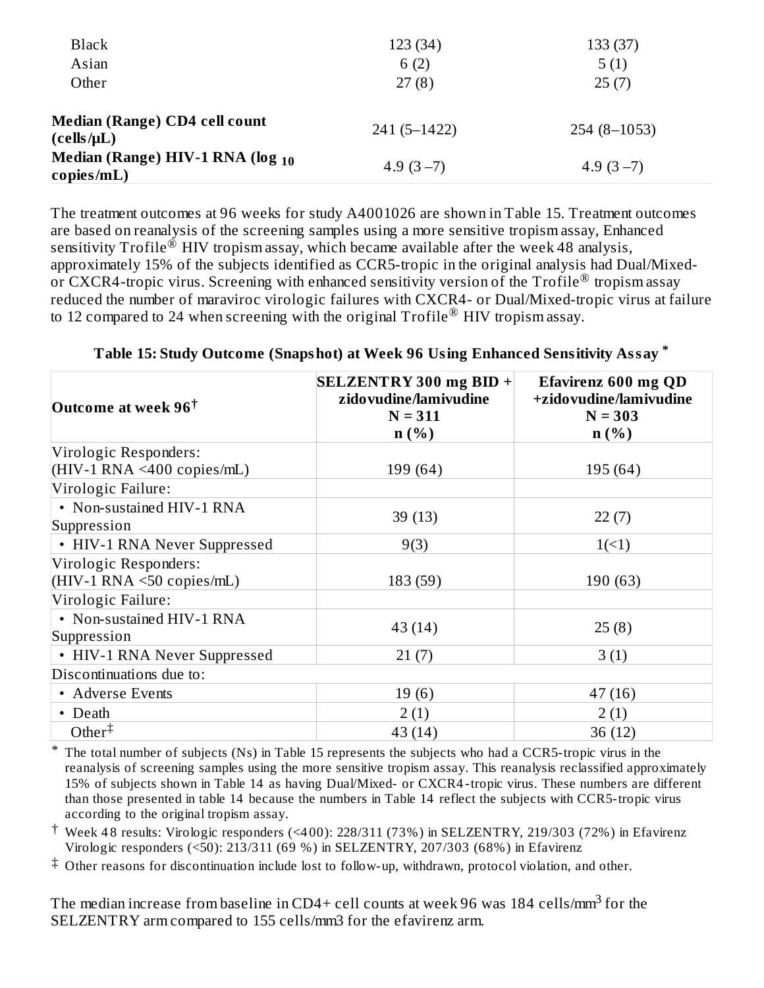| <b>Black</b>                                              | 123 (34)        | 133 (37)      |
|-----------------------------------------------------------|-----------------|---------------|
| Asian                                                     | 6(2)            | 5(1)          |
| Other                                                     | 27(8)           | 25(7)         |
| Median (Range) CD4 cell count<br>(cells/µL)               | $241(5 - 1422)$ | $254(8-1053)$ |
| Median (Range) HIV-1 RNA (log <sub>10</sub><br>copies/mL) | 4.9 $(3-7)$     | 4.9 $(3-7)$   |

The treatment outcomes at 96 weeks for study A4001026 are shown in Table 15. Treatment outcomes are based on reanalysis of the screening samples using a more sensitive tropism assay, Enhanced sensitivity  $\text{Trofile}^{\tilde{\otimes}}$  HIV tropism assay, which became available after the week 48 analysis, approximately 15% of the subjects identified as CCR5-tropic in the original analysis had Dual/Mixedor CXCR4-tropic virus. Screening with enhanced sensitivity version of the Trofile<sup>®</sup> tropism assay reduced the number of maraviroc virologic failures with CXCR4- or Dual/Mixed-tropic virus at failure to 12 compared to 24 when screening with the original  $\operatorname{Trofile}^{\circledR}$  HIV tropism assay.

| Outcome at week 96 <sup>†</sup>          | $\left  \text{SELZENTRY } 300 \text{ mg } \text{BID } + \right $<br>zido vudine/lamivudine<br>$N = 311$<br>$n(\%)$ | Efavirenz 600 mg QD<br>+zidovudine/lamivudine<br>$N = 303$<br>n(%) |  |  |
|------------------------------------------|--------------------------------------------------------------------------------------------------------------------|--------------------------------------------------------------------|--|--|
| Virologic Responders:                    |                                                                                                                    |                                                                    |  |  |
| $(HIV-1 RNA \leq 400 copies/mL)$         | 199 (64)                                                                                                           | 195 (64)                                                           |  |  |
| Virologic Failure:                       |                                                                                                                    |                                                                    |  |  |
| • Non-sustained HIV-1 RNA<br>Suppression | 39(13)                                                                                                             | 22(7)                                                              |  |  |
| • HIV-1 RNA Never Suppressed             | 9(3)                                                                                                               | $1(\leq 1)$                                                        |  |  |
| Virologic Responders:                    |                                                                                                                    |                                                                    |  |  |
| $(HIV-1 RNA \leq 50 copies/mL)$          | 183 (59)                                                                                                           | 190 (63)                                                           |  |  |
| Virologic Failure:                       |                                                                                                                    |                                                                    |  |  |
| • Non-sustained HIV-1 RNA<br>Suppression | 43(14)                                                                                                             | 25(8)                                                              |  |  |
| • HIV-1 RNA Never Suppressed             | 21(7)                                                                                                              | 3(1)                                                               |  |  |
| Discontinuations due to:                 |                                                                                                                    |                                                                    |  |  |
| • Adverse Events                         | 19(6)                                                                                                              | 47(16)                                                             |  |  |
| • Death                                  | 2(1)                                                                                                               | 2(1)                                                               |  |  |
| Other $\ddagger$                         | 43 (14)                                                                                                            | 36 (12)                                                            |  |  |

**Table 15: Study Outcome (Snapshot) at Week 96 Using Enhanced Sensitivity Assay \***

\* The total number of subjects (Ns) in Table 15 represents the subjects who had a CCR5-tropic virus in the reanalysis of screening samples using the more sensitive tropism assay. This reanalysis reclassified approximately 15% of subjects shown in Table 14 as having Dual/Mixed- or CXCR4 -tropic virus. These numbers are different than those presented in table 14 because the numbers in Table 14 reflect the subjects with CCR5-tropic virus according to the original tropism assay.

† Week 4 8 results: Virologic responders (<4 00): 228/311 (73%) in SELZENTRY, 219/303 (72%) in Efavirenz Virologic responders (<50): 213/311 (69 %) in SELZENTRY, 207/303 (68%) in Efavirenz

‡ Other reasons for discontinuation include lost to follow-up, withdrawn, protocol violation, and other.

The median increase from baseline in CD4+ cell counts at week 96 was 184 cells/mm $^3$  for the SELZENTRY arm compared to 155 cells/mm3 for the efavirenz arm.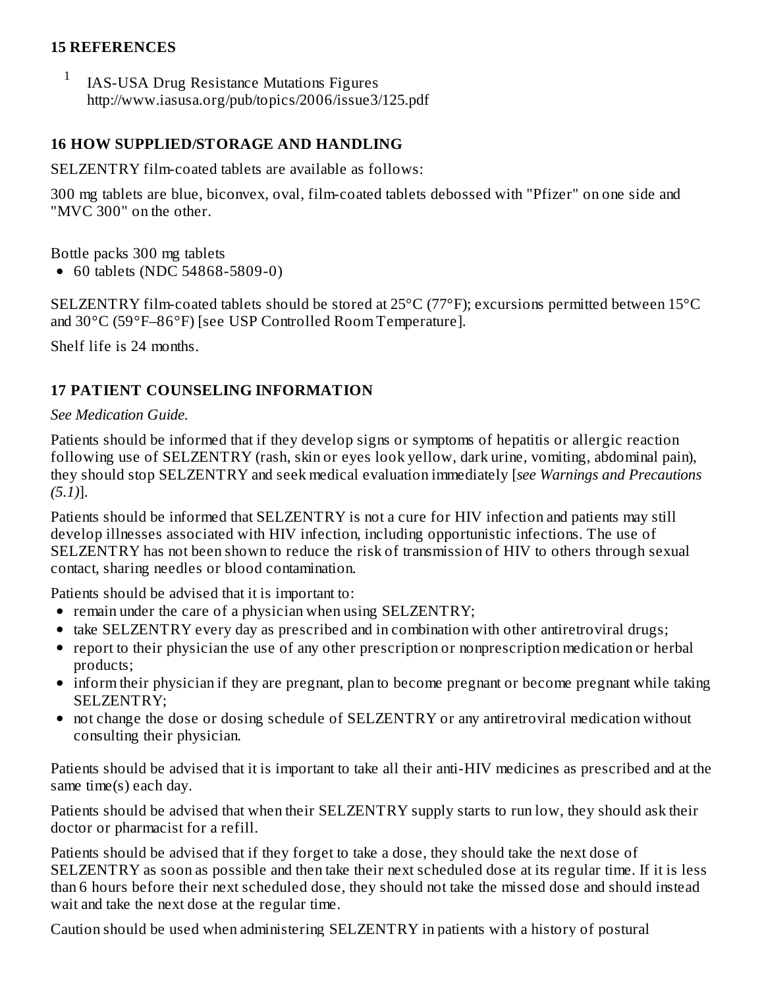#### **15 REFERENCES**

1 IAS-USA Drug Resistance Mutations Figures http://www.iasusa.org/pub/topics/2006/issue3/125.pdf

#### **16 HOW SUPPLIED/STORAGE AND HANDLING**

SELZENTRY film-coated tablets are available as follows:

300 mg tablets are blue, biconvex, oval, film-coated tablets debossed with "Pfizer" on one side and "MVC 300" on the other.

Bottle packs 300 mg tablets

• 60 tablets (NDC 54868-5809-0)

SELZENTRY film-coated tablets should be stored at 25°C (77°F); excursions permitted between 15°C and 30°C (59°F–86°F) [see USP Controlled Room Temperature].

Shelf life is 24 months.

#### **17 PATIENT COUNSELING INFORMATION**

#### *See Medication Guide.*

Patients should be informed that if they develop signs or symptoms of hepatitis or allergic reaction following use of SELZENTRY (rash, skin or eyes look yellow, dark urine, vomiting, abdominal pain), they should stop SELZENTRY and seek medical evaluation immediately [*see Warnings and Precautions (5.1)*].

Patients should be informed that SELZENTRY is not a cure for HIV infection and patients may still develop illnesses associated with HIV infection, including opportunistic infections. The use of SELZENTRY has not been shown to reduce the risk of transmission of HIV to others through sexual contact, sharing needles or blood contamination.

Patients should be advised that it is important to:

- remain under the care of a physician when using SELZENTRY;
- take SELZENTRY every day as prescribed and in combination with other antiretroviral drugs;
- report to their physician the use of any other prescription or nonprescription medication or herbal products;
- inform their physician if they are pregnant, plan to become pregnant or become pregnant while taking SELZENTRY;
- not change the dose or dosing schedule of SELZENTRY or any antiretroviral medication without consulting their physician.

Patients should be advised that it is important to take all their anti-HIV medicines as prescribed and at the same time(s) each day.

Patients should be advised that when their SELZENTRY supply starts to run low, they should ask their doctor or pharmacist for a refill.

Patients should be advised that if they forget to take a dose, they should take the next dose of SELZENTRY as soon as possible and then take their next scheduled dose at its regular time. If it is less than 6 hours before their next scheduled dose, they should not take the missed dose and should instead wait and take the next dose at the regular time.

Caution should be used when administering SELZENTRY in patients with a history of postural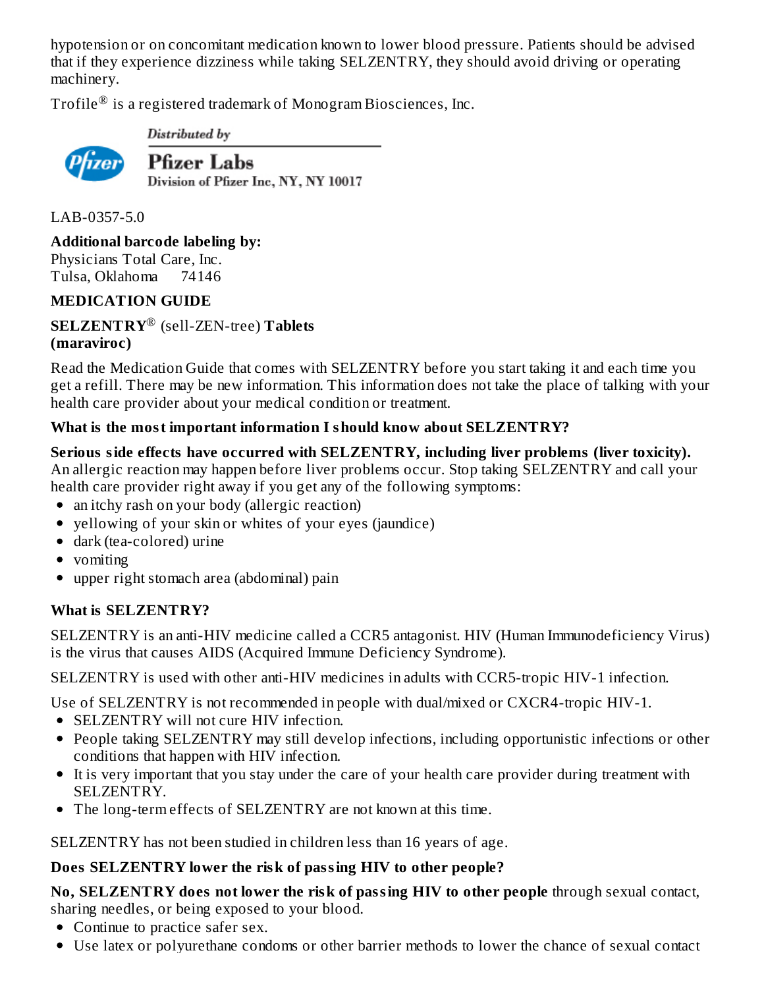hypotension or on concomitant medication known to lower blood pressure. Patients should be advised that if they experience dizziness while taking SELZENTRY, they should avoid driving or operating machinery.

Trofile $^\circledR$  is a registered trademark of Monogram Biosciences, Inc.



Distributed by

**Pfizer Labs** Division of Pfizer Inc, NY, NY 10017

LAB-0357-5.0

**Additional barcode labeling by:**

Physicians Total Care, Inc. Tulsa, Oklahoma 74146

## **MEDICATION GUIDE**

**SELZENTRY** (sell-ZEN-tree) **Tablets** ®**(maraviroc)**

Read the Medication Guide that comes with SELZENTRY before you start taking it and each time you get a refill. There may be new information. This information does not take the place of talking with your health care provider about your medical condition or treatment.

#### **What is the most important information I should know about SELZENTRY?**

**Serious side effects have occurred with SELZENTRY, including liver problems (liver toxicity).** An allergic reaction may happen before liver problems occur. Stop taking SELZENTRY and call your health care provider right away if you get any of the following symptoms:

- an itchy rash on your body (allergic reaction)
- vellowing of your skin or whites of your eyes (jaundice)
- dark (tea-colored) urine
- vomiting
- upper right stomach area (abdominal) pain

## **What is SELZENTRY?**

SELZENTRY is an anti-HIV medicine called a CCR5 antagonist. HIV (Human Immunodeficiency Virus) is the virus that causes AIDS (Acquired Immune Deficiency Syndrome).

SELZENTRY is used with other anti-HIV medicines in adults with CCR5-tropic HIV-1 infection.

Use of SELZENTRY is not recommended in people with dual/mixed or CXCR4-tropic HIV-1.

- SELZENTRY will not cure HIV infection.
- People taking SELZENTRY may still develop infections, including opportunistic infections or other conditions that happen with HIV infection.
- It is very important that you stay under the care of your health care provider during treatment with SELZENTRY.
- The long-term effects of SELZENTRY are not known at this time.

SELZENTRY has not been studied in children less than 16 years of age.

## **Does SELZENTRY lower the risk of passing HIV to other people?**

**No, SELZENTRY does not lower the risk of passing HIV to other people** through sexual contact, sharing needles, or being exposed to your blood.

- Continue to practice safer sex.
- Use latex or polyurethane condoms or other barrier methods to lower the chance of sexual contact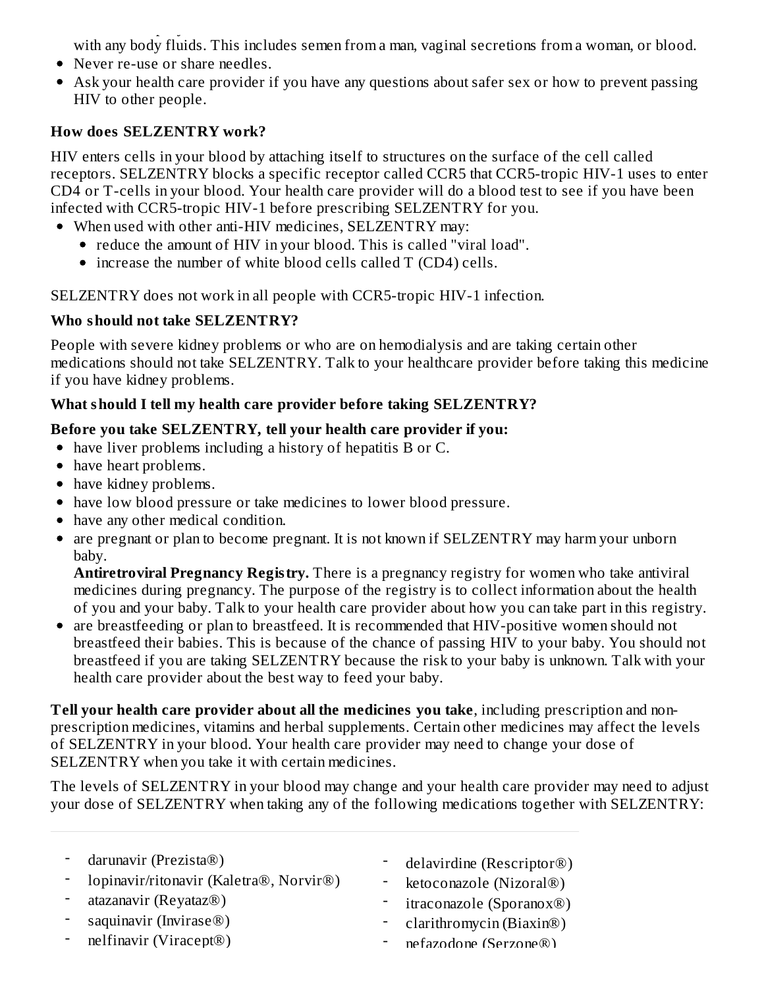Use latex or polyurethane condoms or other barrier methods to lower the chance of sexual contact with any body fluids. This includes semen from a man, vaginal secretions from a woman, or blood.

- Never re-use or share needles.
- Ask your health care provider if you have any questions about safer sex or how to prevent passing HIV to other people.

## **How does SELZENTRY work?**

HIV enters cells in your blood by attaching itself to structures on the surface of the cell called receptors. SELZENTRY blocks a specific receptor called CCR5 that CCR5-tropic HIV-1 uses to enter CD4 or T-cells in your blood. Your health care provider will do a blood test to see if you have been infected with CCR5-tropic HIV-1 before prescribing SELZENTRY for you.

- When used with other anti-HIV medicines, SELZENTRY may:
	- reduce the amount of HIV in your blood. This is called "viral load".
	- increase the number of white blood cells called T (CD4) cells.

SELZENTRY does not work in all people with CCR5-tropic HIV-1 infection.

## **Who should not take SELZENTRY?**

People with severe kidney problems or who are on hemodialysis and are taking certain other medications should not take SELZENTRY. Talk to your healthcare provider before taking this medicine if you have kidney problems.

## **What should I tell my health care provider before taking SELZENTRY?**

## **Before you take SELZENTRY, tell your health care provider if you:**

- have liver problems including a history of hepatitis B or C.
- have heart problems.
- have kidney problems.
- have low blood pressure or take medicines to lower blood pressure.
- have any other medical condition.
- are pregnant or plan to become pregnant. It is not known if SELZENTRY may harm your unborn baby.

**Antiretroviral Pregnancy Registry.** There is a pregnancy registry for women who take antiviral medicines during pregnancy. The purpose of the registry is to collect information about the health of you and your baby. Talk to your health care provider about how you can take part in this registry.

are breastfeeding or plan to breastfeed. It is recommended that HIV-positive women should not breastfeed their babies. This is because of the chance of passing HIV to your baby. You should not breastfeed if you are taking SELZENTRY because the risk to your baby is unknown. Talk with your health care provider about the best way to feed your baby.

**Tell your health care provider about all the medicines you take**, including prescription and nonprescription medicines, vitamins and herbal supplements. Certain other medicines may affect the levels of SELZENTRY in your blood. Your health care provider may need to change your dose of SELZENTRY when you take it with certain medicines.

The levels of SELZENTRY in your blood may change and your health care provider may need to adjust your dose of SELZENTRY when taking any of the following medications together with SELZENTRY:

| darunavir (Prezista®)                     | - delavirdine (Rescriptor <sup>®</sup> ) |  |
|-------------------------------------------|------------------------------------------|--|
| - lopinavir/ritonavir (Kaletra®, Norvir®) | ketoconazole (Nizoral®)                  |  |
| atazanavir (Reyataz $\circledR$ )         | - itraconazole (Sporanox <sup>®</sup> )  |  |
| saquinavir (Invirase®)                    | - clarithromycin (Biaxin <sup>®</sup> )  |  |
| nelfinavir (Viracept <sup>®</sup> )       | nefazodone (Serzone®)                    |  |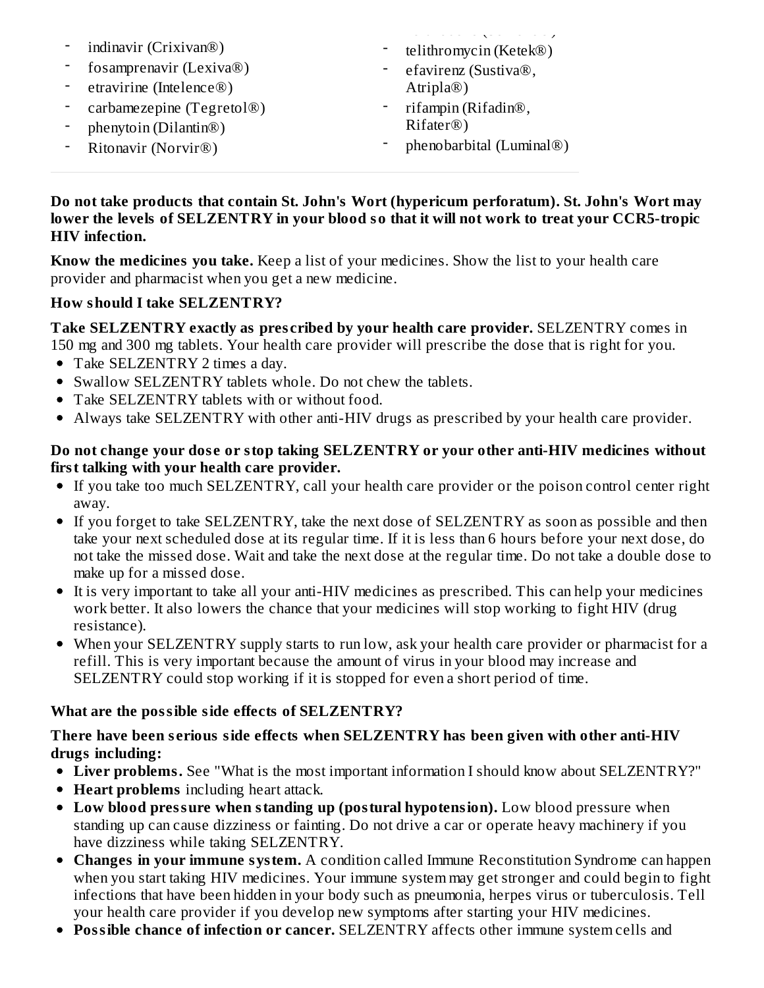- indinavir (Crixivan®)
- fosamprenavir (Lexiva®)
- etravirine (Intelence®)
- carbamezepine (Tegretol®)
- phenytoin (Dilantin®)
- Ritonavir (Norvir®)

nefazo (Serzone e )

- telithromycin (Ketek®) efavirenz (Sustiva®,
- Atripla®)
- rifampin (Rifadin®, Rifater®)
- phenobarbital (Luminal®)

#### **Do not take products that contain St. John's Wort (hypericum perforatum). St. John's Wort may lower the levels of SELZENTRY in your blood so that it will not work to treat your CCR5-tropic HIV infection.**

**Know the medicines you take.** Keep a list of your medicines. Show the list to your health care provider and pharmacist when you get a new medicine.

## **How should I take SELZENTRY?**

**Take SELZENTRY exactly as pres cribed by your health care provider.** SELZENTRY comes in

- 150 mg and 300 mg tablets. Your health care provider will prescribe the dose that is right for you. Take SELZENTRY 2 times a day.
- Swallow SELZENTRY tablets whole. Do not chew the tablets.
- Take SELZENTRY tablets with or without food.
- Always take SELZENTRY with other anti-HIV drugs as prescribed by your health care provider.

#### **Do not change your dos e or stop taking SELZENTRY or your other anti-HIV medicines without first talking with your health care provider.**

- If you take too much SELZENTRY, call your health care provider or the poison control center right away.
- If you forget to take SELZENTRY, take the next dose of SELZENTRY as soon as possible and then take your next scheduled dose at its regular time. If it is less than 6 hours before your next dose, do not take the missed dose. Wait and take the next dose at the regular time. Do not take a double dose to make up for a missed dose.
- It is very important to take all your anti-HIV medicines as prescribed. This can help your medicines work better. It also lowers the chance that your medicines will stop working to fight HIV (drug resistance).
- When your SELZENTRY supply starts to run low, ask your health care provider or pharmacist for a refill. This is very important because the amount of virus in your blood may increase and SELZENTRY could stop working if it is stopped for even a short period of time.

## **What are the possible side effects of SELZENTRY?**

#### **There have been s erious side effects when SELZENTRY has been given with other anti-HIV drugs including:**

- **Liver problems.** See "What is the most important information I should know about SELZENTRY?"
- **Heart problems** including heart attack.
- **Low blood pressure when standing up (postural hypotension).** Low blood pressure when standing up can cause dizziness or fainting. Do not drive a car or operate heavy machinery if you have dizziness while taking SELZENTRY.
- **Changes in your immune system.** A condition called Immune Reconstitution Syndrome can happen when you start taking HIV medicines. Your immune system may get stronger and could begin to fight infections that have been hidden in your body such as pneumonia, herpes virus or tuberculosis. Tell your health care provider if you develop new symptoms after starting your HIV medicines.
- **Possible chance of infection or cancer.** SELZENTRY affects other immune system cells and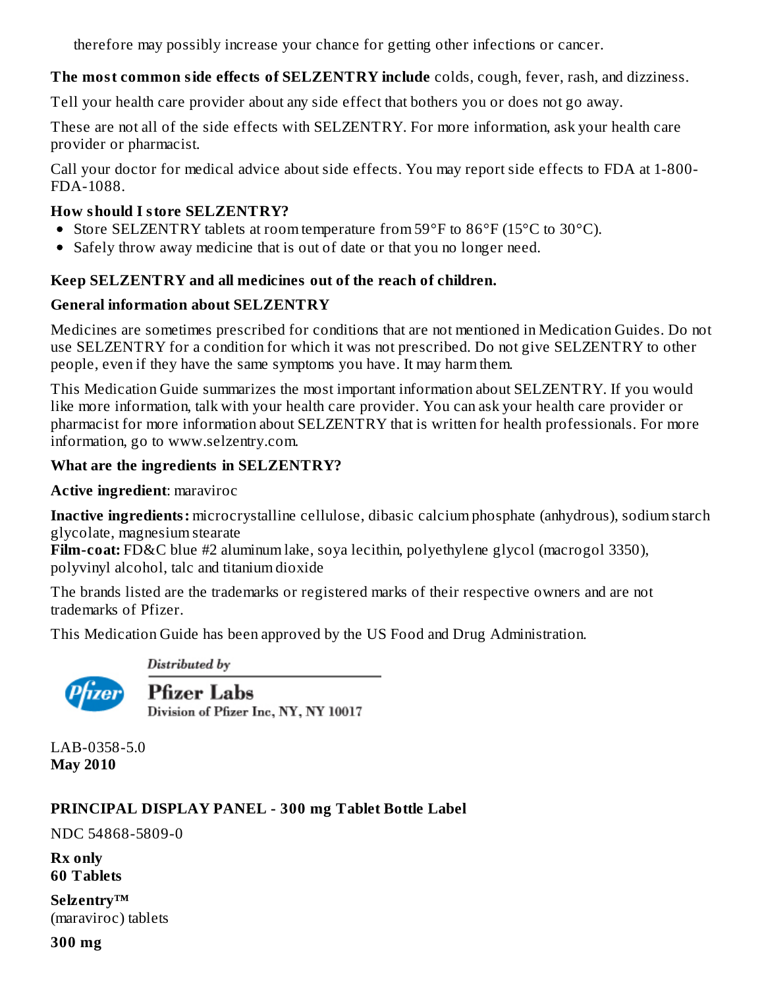therefore may possibly increase your chance for getting other infections or cancer.

## **The most common side effects of SELZENTRY include** colds, cough, fever, rash, and dizziness.

Tell your health care provider about any side effect that bothers you or does not go away.

These are not all of the side effects with SELZENTRY. For more information, ask your health care provider or pharmacist.

Call your doctor for medical advice about side effects. You may report side effects to FDA at 1-800- FDA-1088.

## **How should I store SELZENTRY?**

- Store SELZENTRY tablets at room temperature from  $59^{\circ}$ F to  $86^{\circ}$ F (15 $^{\circ}$ C to 30 $^{\circ}$ C).
- Safely throw away medicine that is out of date or that you no longer need.

## **Keep SELZENTRY and all medicines out of the reach of children.**

## **General information about SELZENTRY**

Medicines are sometimes prescribed for conditions that are not mentioned in Medication Guides. Do not use SELZENTRY for a condition for which it was not prescribed. Do not give SELZENTRY to other people, even if they have the same symptoms you have. It may harm them.

This Medication Guide summarizes the most important information about SELZENTRY. If you would like more information, talk with your health care provider. You can ask your health care provider or pharmacist for more information about SELZENTRY that is written for health professionals. For more information, go to www.selzentry.com.

## **What are the ingredients in SELZENTRY?**

**Active ingredient**: maraviroc

**Inactive ingredients:** microcrystalline cellulose, dibasic calcium phosphate (anhydrous), sodium starch glycolate, magnesium stearate

**Film-coat:** FD&C blue #2 aluminum lake, soya lecithin, polyethylene glycol (macrogol 3350), polyvinyl alcohol, talc and titanium dioxide

The brands listed are the trademarks or registered marks of their respective owners and are not trademarks of Pfizer.

This Medication Guide has been approved by the US Food and Drug Administration.

Distributed by



**Pfizer Labs** Division of Pfizer Inc, NY, NY 10017

LAB-0358-5.0 **May 2010**

# **PRINCIPAL DISPLAY PANEL - 300 mg Tablet Bottle Label**

NDC 54868-5809-0

**Rx only 60 Tablets**

**Selzentry™** (maraviroc) tablets

**300 mg**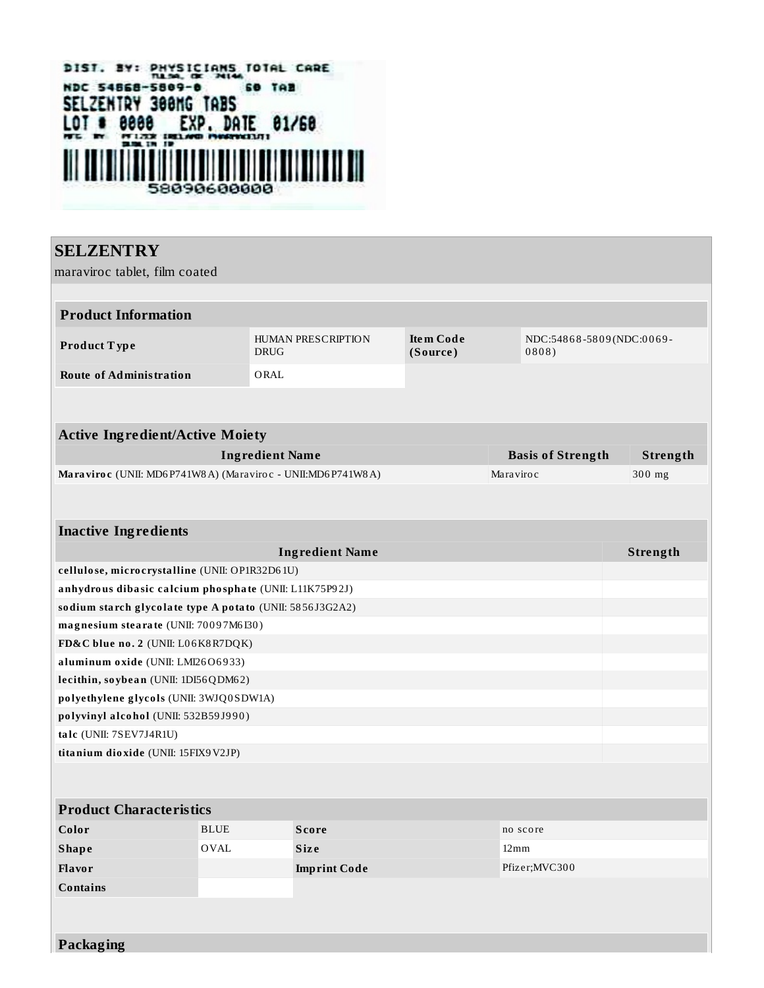

**SELZENTRY** maraviroc tablet, film coated **Product Information Product T ype** HUMAN PRESCRIPTION DRUG **Ite m Code (Source )** NDC:54868-5809(NDC:0069-0 8 0 8 ) **Route of Administration** ORAL **Active Ingredient/Active Moiety Ingredient Name Basis of Strength Strength Maraviro c** (UNII: MD6 P741W8A) (Maraviro c - UNII: MD6 P741W8A) Maraviro c Maraviro c 300 mg **Inactive Ingredients Ingredient Name Strength cellulo se, micro crysta lline** (UNII: OP1R32D6 1U) **a nhydro us diba sic ca lcium pho spha te** (UNII: L11K75P9 2J) **so dium sta rch g lyco la te type A po ta to** (UNII: 58 56 J3G2A2) **ma g nesium stea ra te** (UNII: 70 0 9 7M6 I30 ) **FD&C blue no . 2** (UNII: L0 6K8R7DQK) **a luminum o xide** (UNII: LMI26O6 9 33) **lecithin, so ybea n** (UNII: 1DI56QDM6 2) **po lyethylene g lyco ls** (UNII: 3WJQ0 SDW1A) **po lyvinyl a lco ho l** (UNII: 532B59 J9 9 0 ) **ta lc** (UNII: 7SEV7J4R1U) **tita nium dio xide** (UNII: 15FIX9V2JP)

#### **Product Characteristics Color BLUE Score Score no** score **Shape** OVAL **Siz e** 12mm **Flavor Imprint Code** Pfizer;MVC30 0 **Contains**

**Packaging**